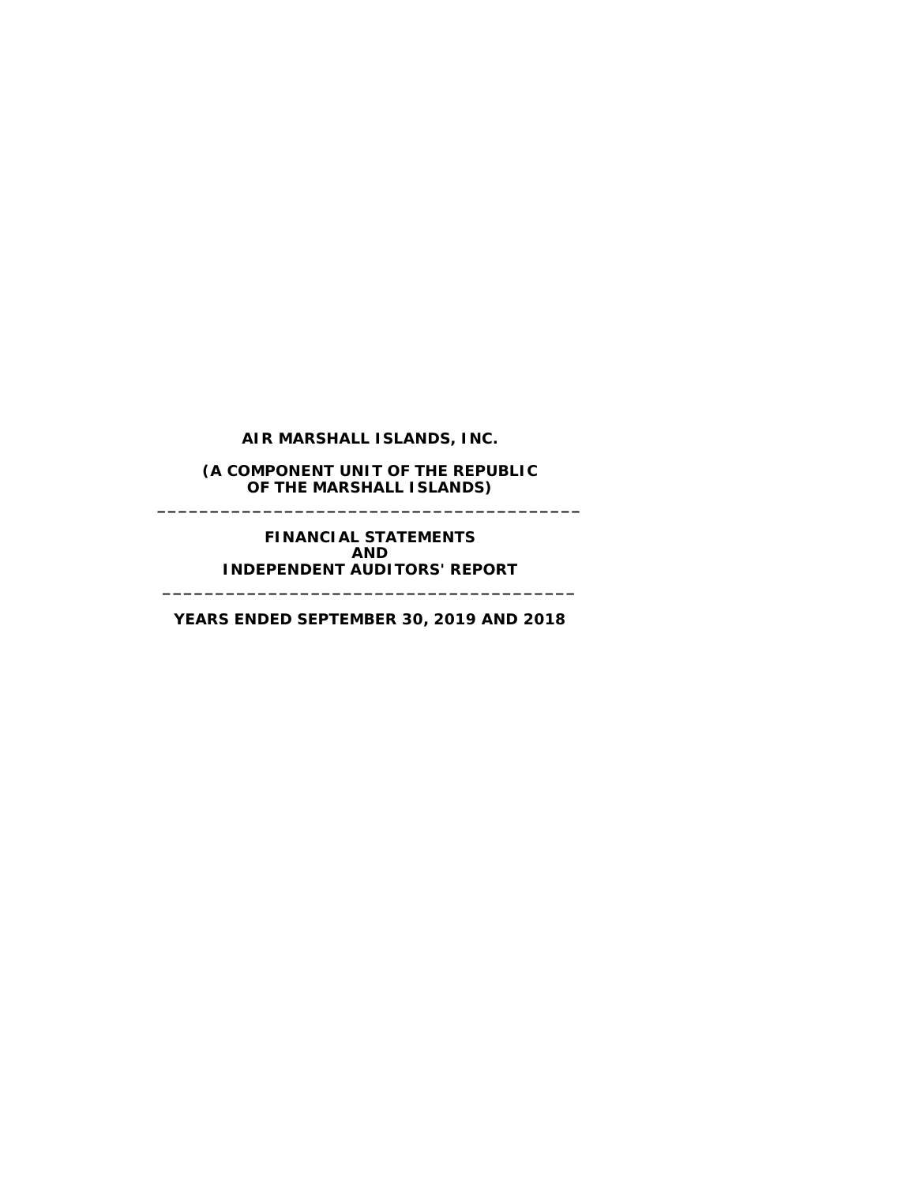**AIR MARSHALL ISLANDS, INC.**

**(A COMPONENT UNIT OF THE REPUBLIC OF THE MARSHALL ISLANDS) \_\_\_\_\_\_\_\_\_\_\_\_\_\_\_\_\_\_\_\_\_\_\_\_\_\_\_\_\_\_\_\_\_\_\_\_\_\_\_\_**

> **FINANCIAL STATEMENTS AND INDEPENDENT AUDITORS' REPORT**

**YEARS ENDED SEPTEMBER 30, 2019 AND 2018**

**\_\_\_\_\_\_\_\_\_\_\_\_\_\_\_\_\_\_\_\_\_\_\_\_\_\_\_\_\_\_\_\_\_\_\_\_\_\_\_**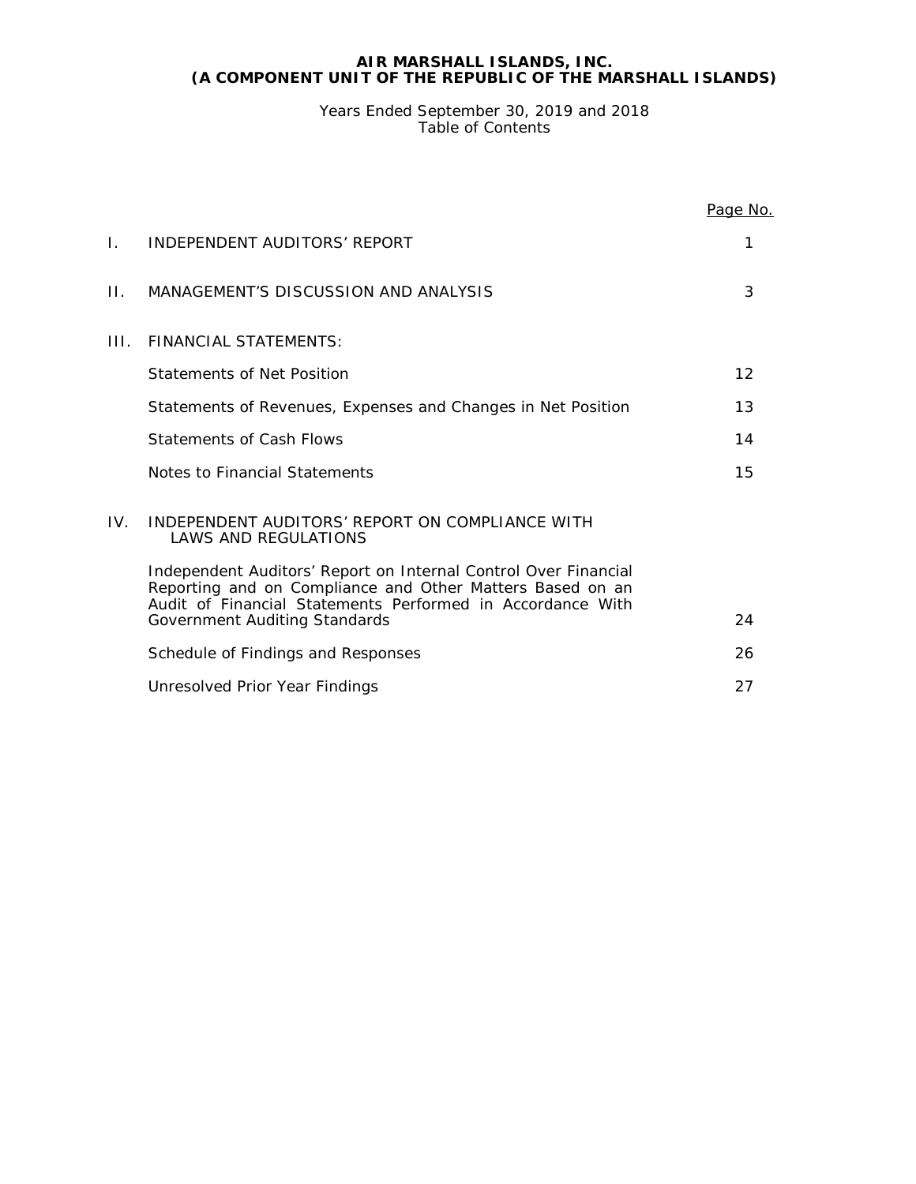Years Ended September 30, 2019 and 2018 Table of Contents

|     |                                                                                                                                                                                            | Page No. |
|-----|--------------------------------------------------------------------------------------------------------------------------------------------------------------------------------------------|----------|
| Ι.  | INDEPENDENT AUDITORS' REPORT                                                                                                                                                               | 1        |
| П.  | MANAGEMENT'S DISCUSSION AND ANALYSIS                                                                                                                                                       | 3        |
| HL. | <b>FINANCIAL STATEMENTS:</b>                                                                                                                                                               |          |
|     | Statements of Net Position                                                                                                                                                                 | 12       |
|     | Statements of Revenues, Expenses and Changes in Net Position                                                                                                                               | 13       |
|     | Statements of Cash Flows                                                                                                                                                                   | 14       |
|     | Notes to Financial Statements                                                                                                                                                              | 15       |
| IV. | INDEPENDENT AUDITORS' REPORT ON COMPLIANCE WITH<br><b>LAWS AND REGULATIONS</b>                                                                                                             |          |
|     | Independent Auditors' Report on Internal Control Over Financial<br>Reporting and on Compliance and Other Matters Based on an<br>Audit of Financial Statements Performed in Accordance With |          |
|     | Government Auditing Standards                                                                                                                                                              | 24       |
|     | Schedule of Findings and Responses                                                                                                                                                         | 26       |
|     | Unresolved Prior Year Findings                                                                                                                                                             | 27       |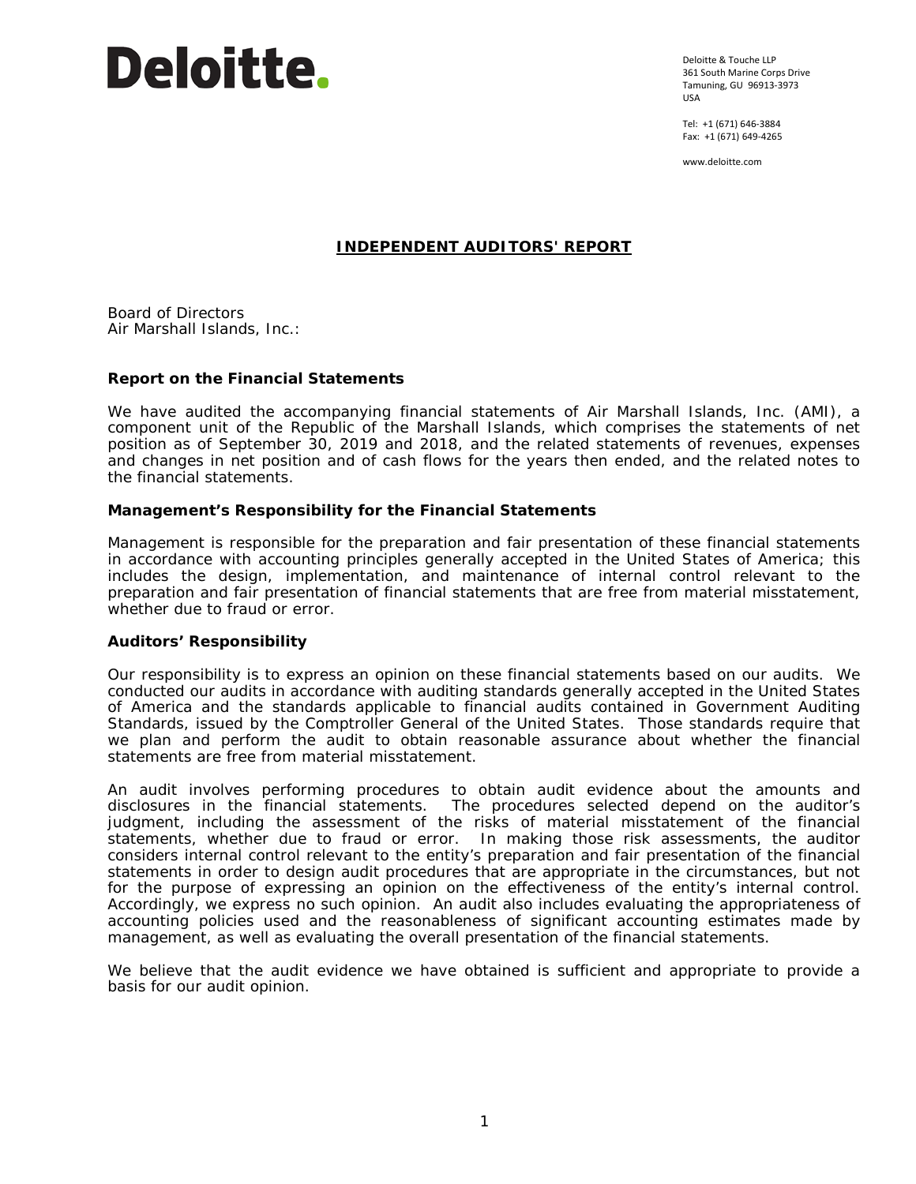

Deloitte & Touche LLP 361 South Marine Corps Drive Tamuning, GU 96913-3973 USA

Tel: +1 (671) 646-3884 Fax: +1 (671) 649-4265

www.deloitte.com

## **INDEPENDENT AUDITORS' REPORT**

Board of Directors Air Marshall Islands, Inc.:

## **Report on the Financial Statements**

We have audited the accompanying financial statements of Air Marshall Islands, Inc. (AMI), a component unit of the Republic of the Marshall Islands, which comprises the statements of net position as of September 30, 2019 and 2018, and the related statements of revenues, expenses and changes in net position and of cash flows for the years then ended, and the related notes to the financial statements.

## *Management's Responsibility for the Financial Statements*

Management is responsible for the preparation and fair presentation of these financial statements in accordance with accounting principles generally accepted in the United States of America; this includes the design, implementation, and maintenance of internal control relevant to the preparation and fair presentation of financial statements that are free from material misstatement, whether due to fraud or error.

## *Auditors' Responsibility*

Our responsibility is to express an opinion on these financial statements based on our audits. We conducted our audits in accordance with auditing standards generally accepted in the United States of America and the standards applicable to financial audits contained in *Government Auditing Standards*, issued by the Comptroller General of the United States. Those standards require that we plan and perform the audit to obtain reasonable assurance about whether the financial statements are free from material misstatement.

An audit involves performing procedures to obtain audit evidence about the amounts and disclosures in the financial statements. The procedures selected depend on the auditor's judgment, including the assessment of the risks of material misstatement of the financial statements, whether due to fraud or error. In making those risk assessments, the auditor considers internal control relevant to the entity's preparation and fair presentation of the financial statements in order to design audit procedures that are appropriate in the circumstances, but not for the purpose of expressing an opinion on the effectiveness of the entity's internal control. Accordingly, we express no such opinion. An audit also includes evaluating the appropriateness of accounting policies used and the reasonableness of significant accounting estimates made by management, as well as evaluating the overall presentation of the financial statements.

We believe that the audit evidence we have obtained is sufficient and appropriate to provide a basis for our audit opinion.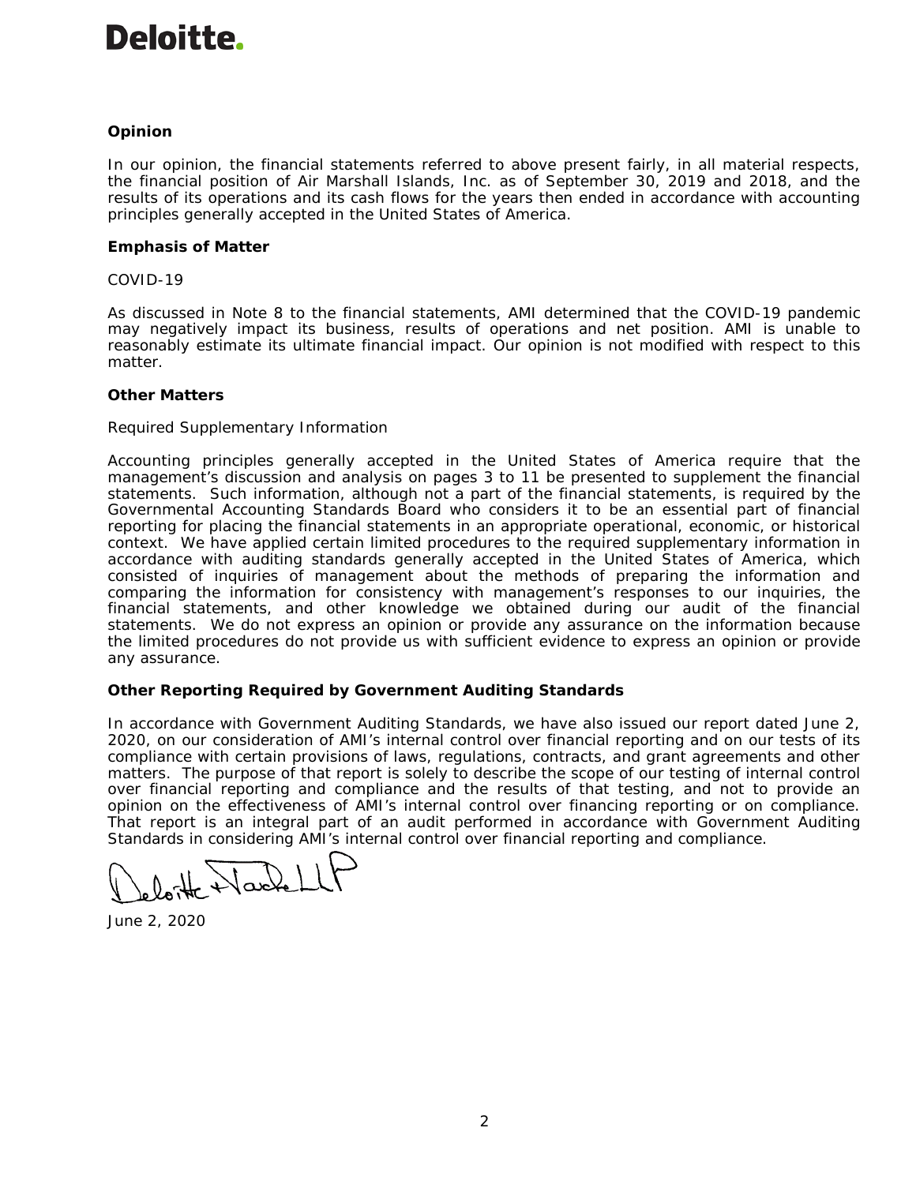## **Deloitte**

## *Opinion*

In our opinion, the financial statements referred to above present fairly, in all material respects, the financial position of Air Marshall Islands, Inc. as of September 30, 2019 and 2018, and the results of its operations and its cash flows for the years then ended in accordance with accounting principles generally accepted in the United States of America.

## *Emphasis of Matter*

## *COVID-19*

As discussed in Note 8 to the financial statements, AMI determined that the COVID-19 pandemic may negatively impact its business, results of operations and net position. AMI is unable to reasonably estimate its ultimate financial impact. Our opinion is not modified with respect to this matter.

## *Other Matters*

## *Required Supplementary Information*

Accounting principles generally accepted in the United States of America require that the management's discussion and analysis on pages 3 to 11 be presented to supplement the financial statements. Such information, although not a part of the financial statements, is required by the Governmental Accounting Standards Board who considers it to be an essential part of financial reporting for placing the financial statements in an appropriate operational, economic, or historical context. We have applied certain limited procedures to the required supplementary information in accordance with auditing standards generally accepted in the United States of America, which consisted of inquiries of management about the methods of preparing the information and comparing the information for consistency with management's responses to our inquiries, the financial statements, and other knowledge we obtained during our audit of the financial statements. We do not express an opinion or provide any assurance on the information because the limited procedures do not provide us with sufficient evidence to express an opinion or provide any assurance.

## **Other Reporting Required by** *Government Auditing Standards*

In accordance with *Government Auditing Standards*, we have also issued our report dated June 2, 2020, on our consideration of AMI's internal control over financial reporting and on our tests of its compliance with certain provisions of laws, regulations, contracts, and grant agreements and other matters. The purpose of that report is solely to describe the scope of our testing of internal control over financial reporting and compliance and the results of that testing, and not to provide an opinion on the effectiveness of AMI's internal control over financing reporting or on compliance. That report is an integral part of an audit performed in accordance with *Government Auditing Standards* in considering AMI's internal control over financial reporting and compliance.

June 2, 2020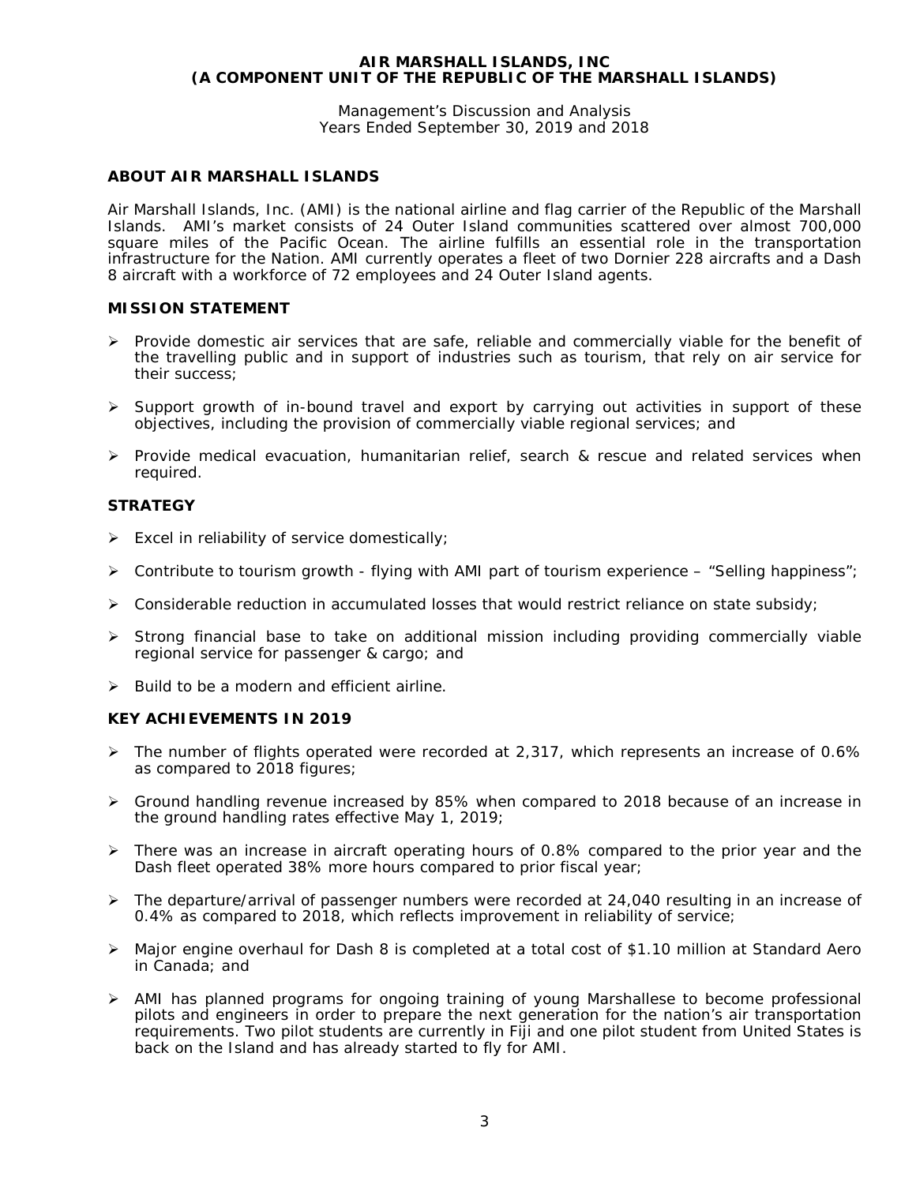Management's Discussion and Analysis Years Ended September 30, 2019 and 2018

## **ABOUT AIR MARSHALL ISLANDS**

Air Marshall Islands, Inc. (AMI) is the national airline and flag carrier of the Republic of the Marshall Islands. AMI's market consists of 24 Outer Island communities scattered over almost 700,000 square miles of the Pacific Ocean. The airline fulfills an essential role in the transportation infrastructure for the Nation. AMI currently operates a fleet of two Dornier 228 aircrafts and a Dash 8 aircraft with a workforce of 72 employees and 24 Outer Island agents.

## **MISSION STATEMENT**

- $\triangleright$  Provide domestic air services that are safe, reliable and commercially viable for the benefit of the travelling public and in support of industries such as tourism, that rely on air service for their success;
- $\triangleright$  Support growth of in-bound travel and export by carrying out activities in support of these objectives, including the provision of commercially viable regional services; and
- $\triangleright$  Provide medical evacuation, humanitarian relief, search & rescue and related services when required.

## **STRATEGY**

- $\triangleright$  Excel in reliability of service domestically;
- $\triangleright$  Contribute to tourism growth flying with AMI part of tourism experience "Selling happiness";
- $\triangleright$  Considerable reduction in accumulated losses that would restrict reliance on state subsidy;
- $\triangleright$  Strong financial base to take on additional mission including providing commercially viable regional service for passenger & cargo; and
- $\triangleright$  Build to be a modern and efficient airline.

## **KEY ACHIEVEMENTS IN 2019**

- $\triangleright$  The number of flights operated were recorded at 2,317, which represents an increase of 0.6% as compared to 2018 figures;
- Ground handling revenue increased by 85% when compared to 2018 because of an increase in the ground handling rates effective May 1, 2019;
- $\triangleright$  There was an increase in aircraft operating hours of 0.8% compared to the prior year and the Dash fleet operated 38% more hours compared to prior fiscal year;
- $\triangleright$  The departure/arrival of passenger numbers were recorded at 24,040 resulting in an increase of 0.4% as compared to 2018, which reflects improvement in reliability of service;
- Major engine overhaul for Dash 8 is completed at a total cost of \$1.10 million at Standard Aero in Canada; and
- AMI has planned programs for ongoing training of young Marshallese to become professional pilots and engineers in order to prepare the next generation for the nation's air transportation requirements. Two pilot students are currently in Fiji and one pilot student from United States is back on the Island and has already started to fly for AMI.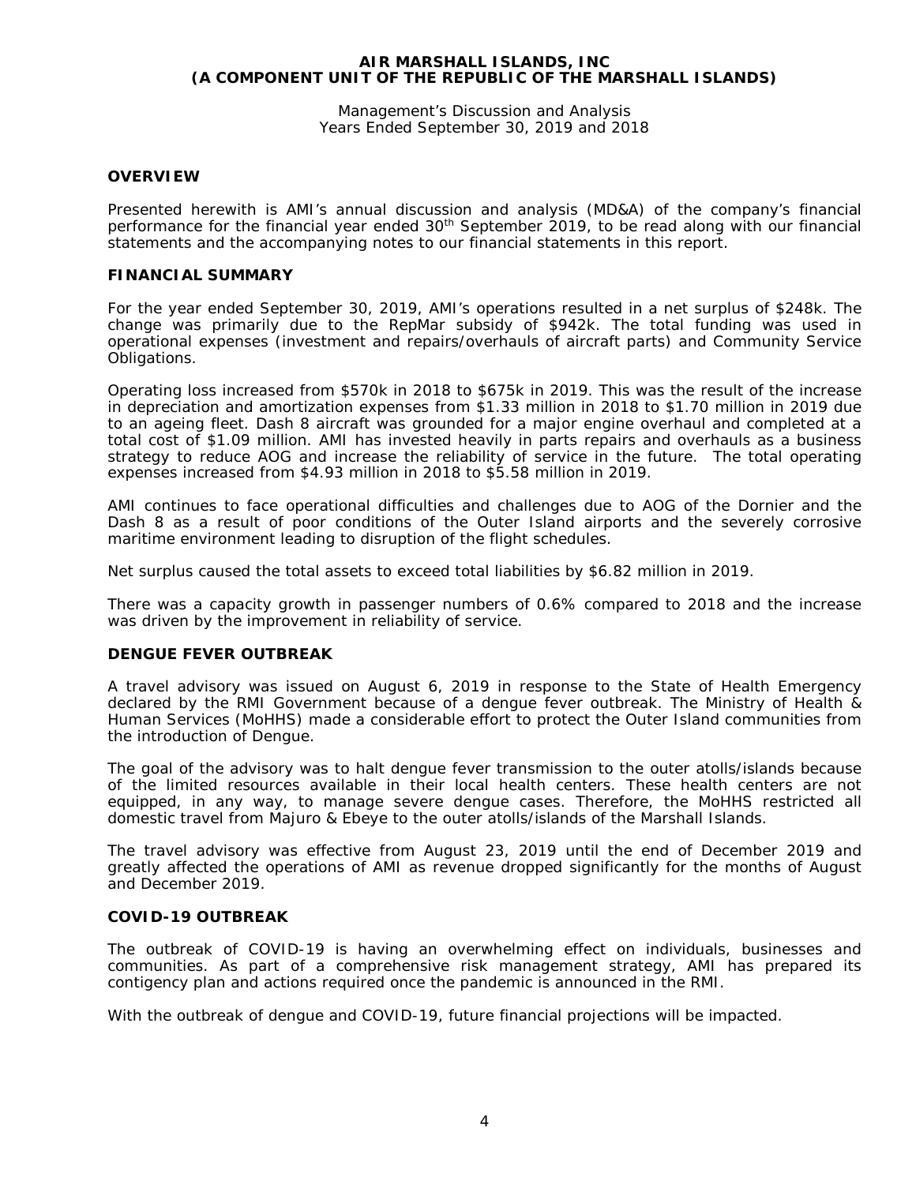Management's Discussion and Analysis Years Ended September 30, 2019 and 2018

## **OVERVIEW**

Presented herewith is AMI's annual discussion and analysis (MD&A) of the company's financial performance for the financial year ended 30<sup>th</sup> September 2019, to be read along with our financial statements and the accompanying notes to our financial statements in this report.

#### **FINANCIAL SUMMARY**

For the year ended September 30, 2019, AMI's operations resulted in a net surplus of \$248k. The change was primarily due to the RepMar subsidy of \$942k. The total funding was used in operational expenses (investment and repairs/overhauls of aircraft parts) and Community Service Obligations.

Operating loss increased from \$570k in 2018 to \$675k in 2019. This was the result of the increase in depreciation and amortization expenses from \$1.33 million in 2018 to \$1.70 million in 2019 due to an ageing fleet. Dash 8 aircraft was grounded for a major engine overhaul and completed at a total cost of \$1.09 million. AMI has invested heavily in parts repairs and overhauls as a business strategy to reduce AOG and increase the reliability of service in the future. The total operating expenses increased from \$4.93 million in 2018 to \$5.58 million in 2019.

AMI continues to face operational difficulties and challenges due to AOG of the Dornier and the Dash 8 as a result of poor conditions of the Outer Island airports and the severely corrosive maritime environment leading to disruption of the flight schedules.

Net surplus caused the total assets to exceed total liabilities by \$6.82 million in 2019.

There was a capacity growth in passenger numbers of 0.6% compared to 2018 and the increase was driven by the improvement in reliability of service.

## **DENGUE FEVER OUTBREAK**

A travel advisory was issued on August 6, 2019 in response to the State of Health Emergency declared by the RMI Government because of a dengue fever outbreak. The Ministry of Health & Human Services (MoHHS) made a considerable effort to protect the Outer Island communities from the introduction of Dengue.

The goal of the advisory was to halt dengue fever transmission to the outer atolls/islands because of the limited resources available in their local health centers. These health centers are not equipped, in any way, to manage severe dengue cases. Therefore, the MoHHS restricted all domestic travel from Majuro & Ebeye to the outer atolls/islands of the Marshall Islands.

The travel advisory was effective from August 23, 2019 until the end of December 2019 and greatly affected the operations of AMI as revenue dropped significantly for the months of August and December 2019.

## **COVID-19 OUTBREAK**

The outbreak of COVID-19 is having an overwhelming effect on individuals, businesses and communities. As part of a comprehensive risk management strategy, AMI has prepared its contigency plan and actions required once the pandemic is announced in the RMI.

With the outbreak of dengue and COVID-19, future financial projections will be impacted.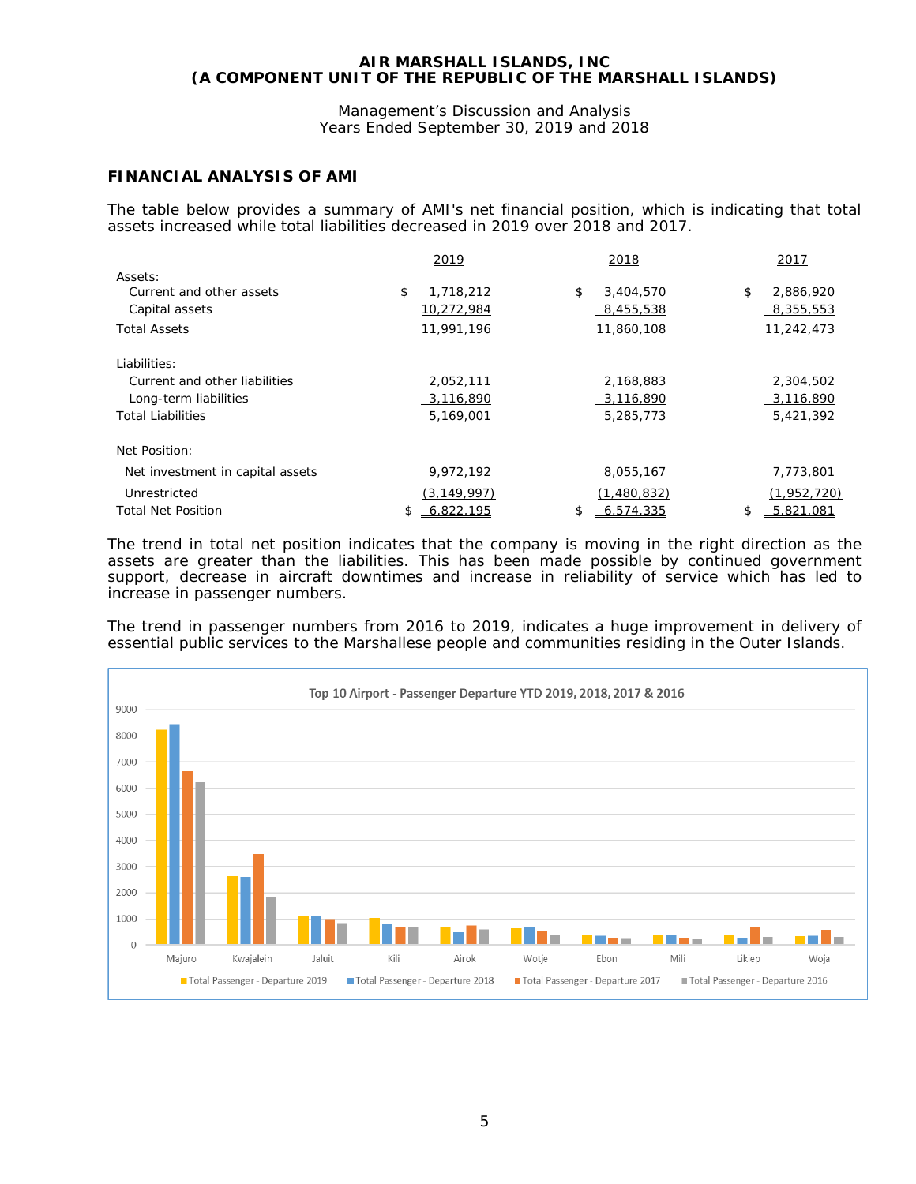Management's Discussion and Analysis Years Ended September 30, 2019 and 2018

## **FINANCIAL ANALYSIS OF AMI**

The table below provides a summary of AMI's net financial position, which is indicating that total assets increased while total liabilities decreased in 2019 over 2018 and 2017.

|                                  | 2019            | 2018            | 2017            |
|----------------------------------|-----------------|-----------------|-----------------|
| Assets:                          |                 |                 |                 |
| Current and other assets         | \$<br>1,718,212 | \$<br>3,404,570 | 2,886,920<br>\$ |
| Capital assets                   | 10,272,984      | 8,455,538       | 8,355,553       |
| <b>Total Assets</b>              | 11,991,196      | 11,860,108      | 11,242,473      |
| Liabilities:                     |                 |                 |                 |
| Current and other liabilities    | 2,052,111       | 2,168,883       | 2,304,502       |
| Long-term liabilities            | 3,116,890       | 3,116,890       | 3,116,890       |
| <b>Total Liabilities</b>         | 5,169,001       | 5,285,773       | $-5,421,392$    |
| Net Position:                    |                 |                 |                 |
| Net investment in capital assets | 9.972.192       | 8,055,167       | 7.773.801       |
| Unrestricted                     | (3, 149, 997)   | (1,480,832)     | (1,952,720)     |
| <b>Total Net Position</b>        | 6.822.195       | 6.574.335<br>\$ | 5.821.081<br>\$ |

The trend in total net position indicates that the company is moving in the right direction as the assets are greater than the liabilities. This has been made possible by continued government support, decrease in aircraft downtimes and increase in reliability of service which has led to increase in passenger numbers.

The trend in passenger numbers from 2016 to 2019, indicates a huge improvement in delivery of essential public services to the Marshallese people and communities residing in the Outer Islands.

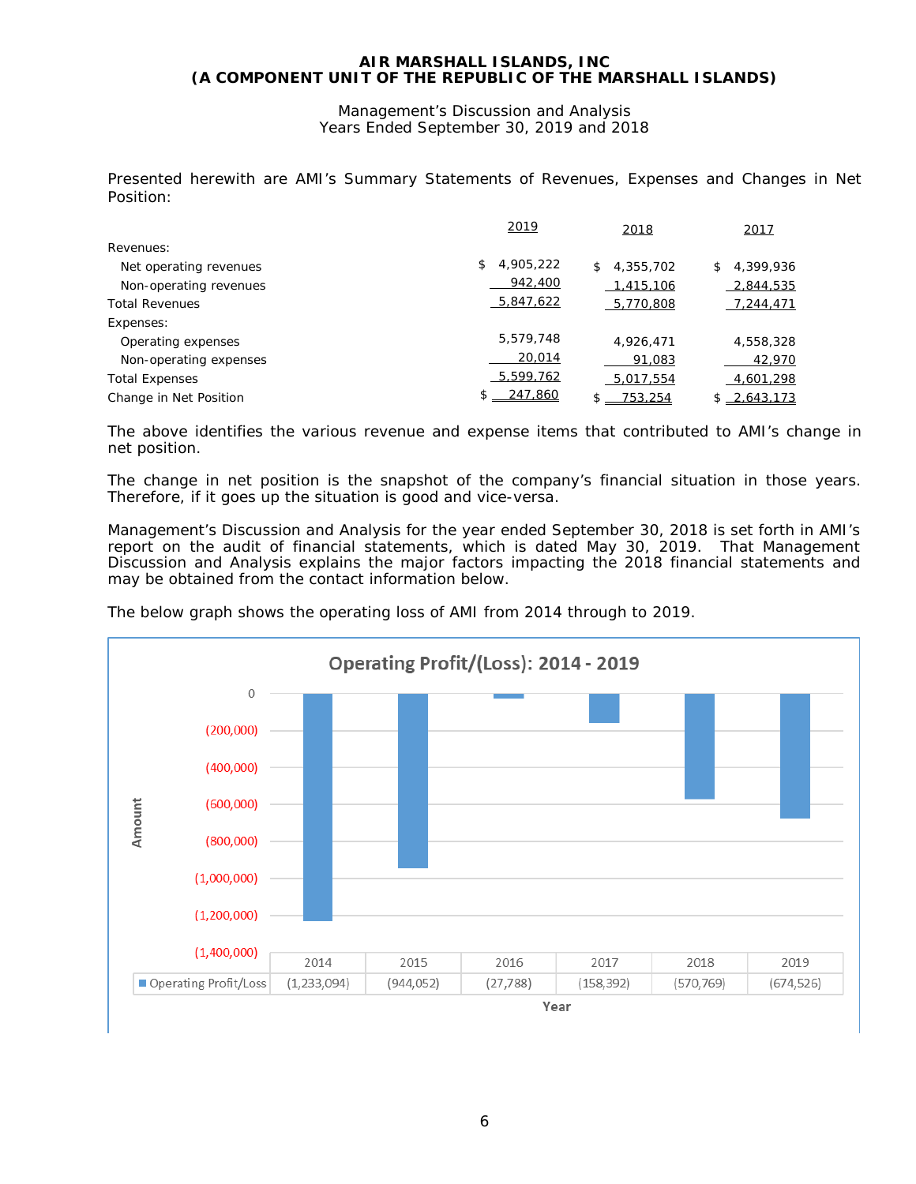Management's Discussion and Analysis Years Ended September 30, 2019 and 2018

Presented herewith are AMI's Summary Statements of Revenues, Expenses and Changes in Net Position:

|                        | 2019            | 2018            | 2017            |
|------------------------|-----------------|-----------------|-----------------|
| Revenues:              |                 |                 |                 |
| Net operating revenues | \$<br>4,905,222 | 4,355,702<br>\$ | 4,399,936<br>\$ |
| Non-operating revenues | 942,400         | 1,415,106       | 2,844,535       |
| <b>Total Revenues</b>  | 5,847,622       | 5,770,808       | 7,244,471       |
| Expenses:              |                 |                 |                 |
| Operating expenses     | 5,579,748       | 4.926.471       | 4,558,328       |
| Non-operating expenses | 20,014          | 91,083          | 42,970          |
| <b>Total Expenses</b>  | 5,599,762       | 5,017,554       | 4,601,298       |
| Change in Net Position | 247.860<br>S.   | 753.254         | $$ -2.643.173$  |

The above identifies the various revenue and expense items that contributed to AMI's change in net position.

The change in net position is the snapshot of the company's financial situation in those years. Therefore, if it goes up the situation is good and vice-versa.

Management's Discussion and Analysis for the year ended September 30, 2018 is set forth in AMI's report on the audit of financial statements, which is dated May 30, 2019. That Management Discussion and Analysis explains the major factors impacting the 2018 financial statements and may be obtained from the contact information below.



The below graph shows the operating loss of AMI from 2014 through to 2019.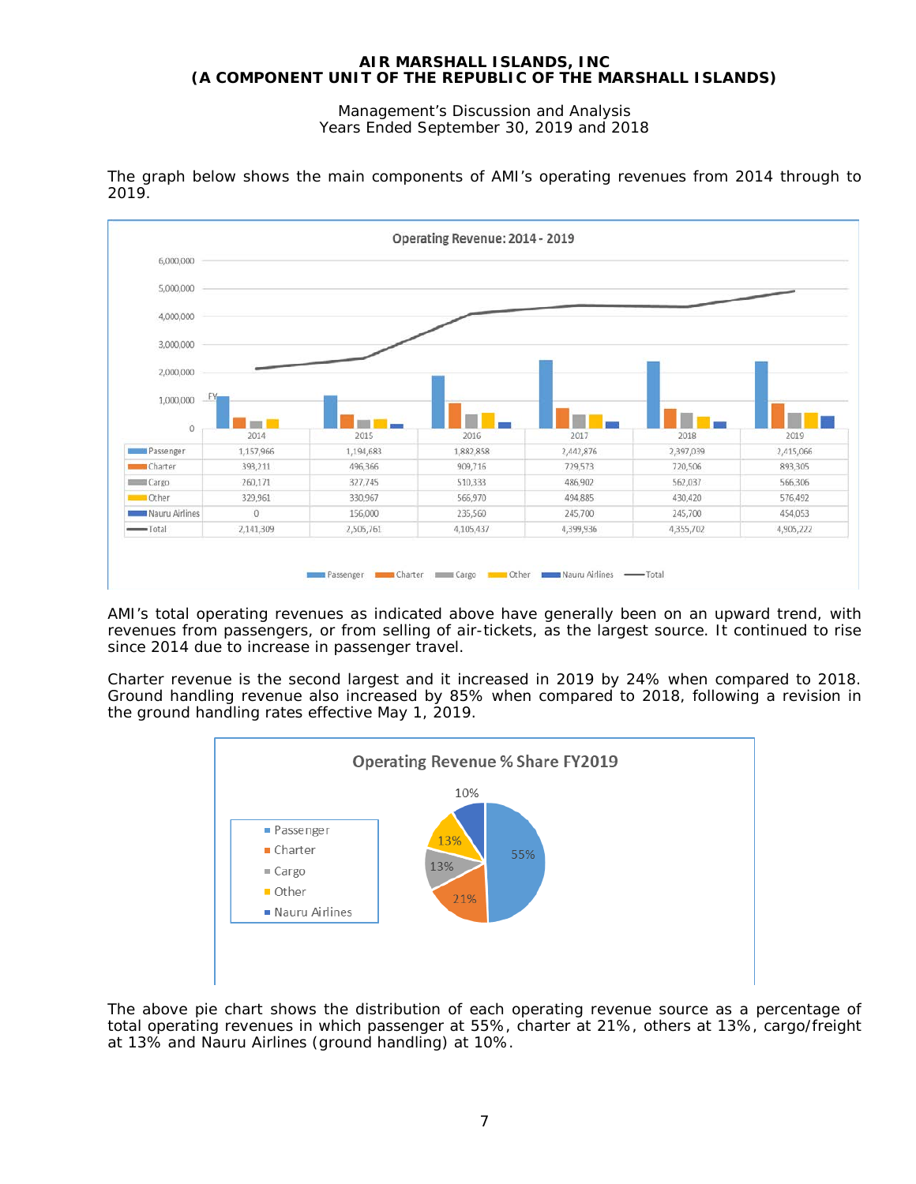Management's Discussion and Analysis Years Ended September 30, 2019 and 2018



The graph below shows the main components of AMI's operating revenues from 2014 through to 2019.

AMI's total operating revenues as indicated above have generally been on an upward trend, with revenues from passengers, or from selling of air-tickets, as the largest source. It continued to rise since 2014 due to increase in passenger travel.

Charter revenue is the second largest and it increased in 2019 by 24% when compared to 2018. Ground handling revenue also increased by 85% when compared to 2018, following a revision in the ground handling rates effective May 1, 2019.



The above pie chart shows the distribution of each operating revenue source as a percentage of total operating revenues in which passenger at 55%, charter at 21%, others at 13%, cargo/freight at 13% and Nauru Airlines (ground handling) at 10%.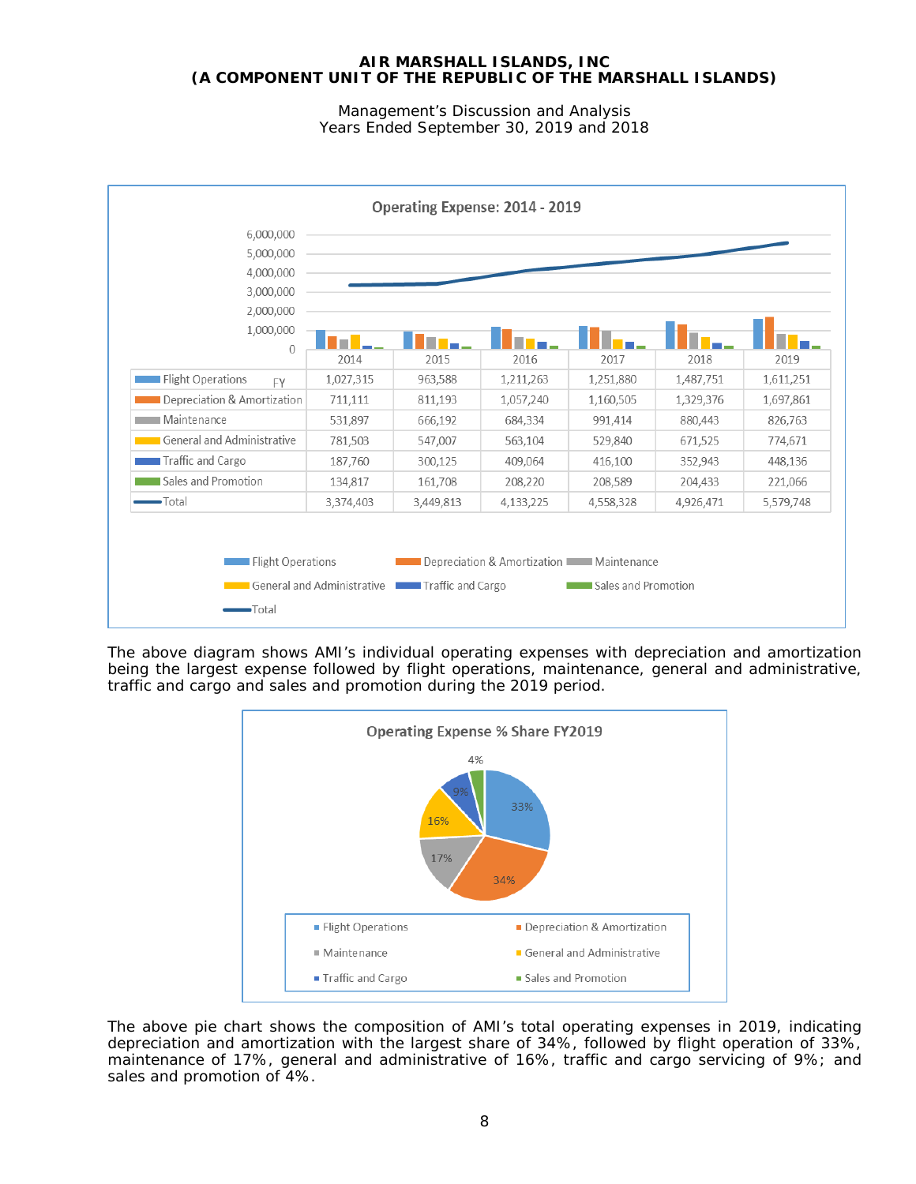Management's Discussion and Analysis Years Ended September 30, 2019 and 2018

| 5,000,000                      |           |           |           |           |           |           |
|--------------------------------|-----------|-----------|-----------|-----------|-----------|-----------|
| 4,000,000                      |           |           |           |           |           |           |
| 3,000,000                      |           |           |           |           |           |           |
| 2,000,000                      |           |           |           |           |           |           |
| 1,000,000                      |           |           |           |           |           |           |
| $\overline{0}$                 | 2014      | 2015      | 2016      | 2017      | 2018      | 2019      |
| <b>Flight Operations</b><br>FY | 1,027,315 | 963,588   | 1,211,263 | 1,251,880 | 1,487,751 | 1,611,251 |
| Depreciation & Amortization    | 711,111   | 811,193   | 1,057,240 | 1,160,505 | 1,329,376 | 1,697,861 |
| ∎ Maintenance                  | 531,897   | 666,192   | 684,334   | 991,414   | 880,443   | 826,763   |
| General and Administrative     | 781,503   | 547,007   | 563,104   | 529,840   | 671,525   | 774,671   |
| Traffic and Cargo              | 187,760   | 300,125   | 409,064   | 416,100   | 352,943   | 448,136   |
| Sales and Promotion            | 134,817   | 161,708   | 208,220   | 208,589   | 204,433   | 221,066   |
| -Total                         | 3,374,403 | 3,449,813 | 4,133,225 | 4,558,328 | 4,926,471 | 5,579,748 |

The above diagram shows AMI's individual operating expenses with depreciation and amortization being the largest expense followed by flight operations, maintenance, general and administrative, traffic and cargo and sales and promotion during the 2019 period.



The above pie chart shows the composition of AMI's total operating expenses in 2019, indicating depreciation and amortization with the largest share of 34%, followed by flight operation of 33%, maintenance of 17%, general and administrative of 16%, traffic and cargo servicing of 9%; and sales and promotion of 4%.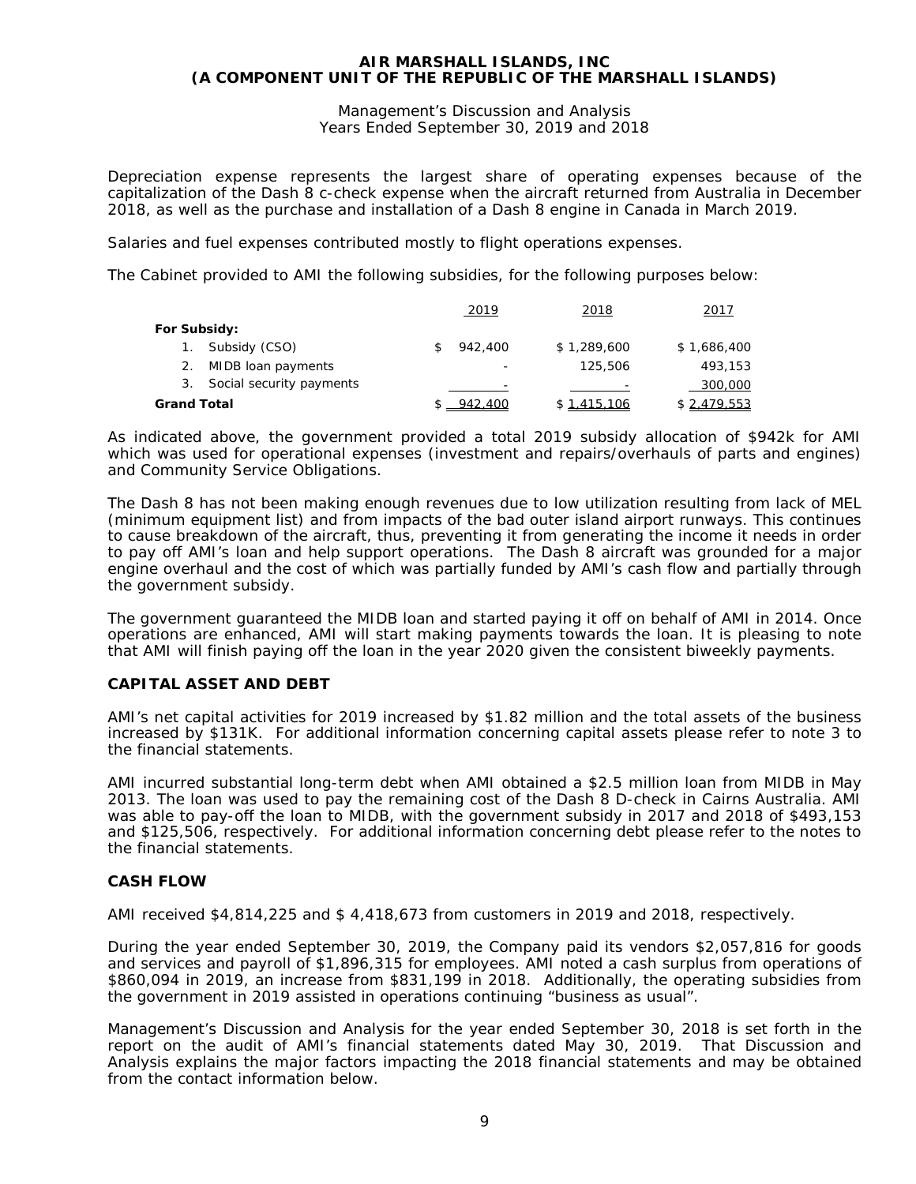Management's Discussion and Analysis Years Ended September 30, 2019 and 2018

Depreciation expense represents the largest share of operating expenses because of the capitalization of the Dash 8 c-check expense when the aircraft returned from Australia in December 2018, as well as the purchase and installation of a Dash 8 engine in Canada in March 2019.

Salaries and fuel expenses contributed mostly to flight operations expenses.

The Cabinet provided to AMI the following subsidies, for the following purposes below:

|             |                             | 2019    | 2018        | 2017        |
|-------------|-----------------------------|---------|-------------|-------------|
|             | For Subsidy:                |         |             |             |
|             | Subsidy (CSO)               | 942,400 | \$1,289,600 | \$1,686,400 |
| 2.          | MIDB loan payments          |         | 125,506     | 493,153     |
|             | 3. Social security payments |         |             | 300,000     |
| Grand Total |                             | 942,400 | \$1.415.106 | \$2.479.553 |

As indicated above, the government provided a total 2019 subsidy allocation of \$942k for AMI which was used for operational expenses (investment and repairs/overhauls of parts and engines) and Community Service Obligations.

The Dash 8 has not been making enough revenues due to low utilization resulting from lack of MEL (minimum equipment list) and from impacts of the bad outer island airport runways. This continues to cause breakdown of the aircraft, thus, preventing it from generating the income it needs in order to pay off AMI's loan and help support operations. The Dash 8 aircraft was grounded for a major engine overhaul and the cost of which was partially funded by AMI's cash flow and partially through the government subsidy.

The government guaranteed the MIDB loan and started paying it off on behalf of AMI in 2014. Once operations are enhanced, AMI will start making payments towards the loan. It is pleasing to note that AMI will finish paying off the loan in the year 2020 given the consistent biweekly payments.

## **CAPITAL ASSET AND DEBT**

AMI's net capital activities for 2019 increased by \$1.82 million and the total assets of the business increased by \$131K. For additional information concerning capital assets please refer to note 3 to the financial statements.

AMI incurred substantial long-term debt when AMI obtained a \$2.5 million loan from MIDB in May 2013. The loan was used to pay the remaining cost of the Dash 8 D-check in Cairns Australia. AMI was able to pay-off the loan to MIDB, with the government subsidy in 2017 and 2018 of \$493,153 and \$125,506, respectively. For additional information concerning debt please refer to the notes to the financial statements.

## **CASH FLOW**

AMI received \$4,814,225 and \$ 4,418,673 from customers in 2019 and 2018, respectively.

During the year ended September 30, 2019, the Company paid its vendors \$2,057,816 for goods and services and payroll of \$1,896,315 for employees. AMI noted a cash surplus from operations of \$860,094 in 2019, an increase from \$831,199 in 2018. Additionally, the operating subsidies from the government in 2019 assisted in operations continuing "business as usual".

Management's Discussion and Analysis for the year ended September 30, 2018 is set forth in the report on the audit of AMI's financial statements dated May 30, 2019. That Discussion and Analysis explains the major factors impacting the 2018 financial statements and may be obtained from the contact information below.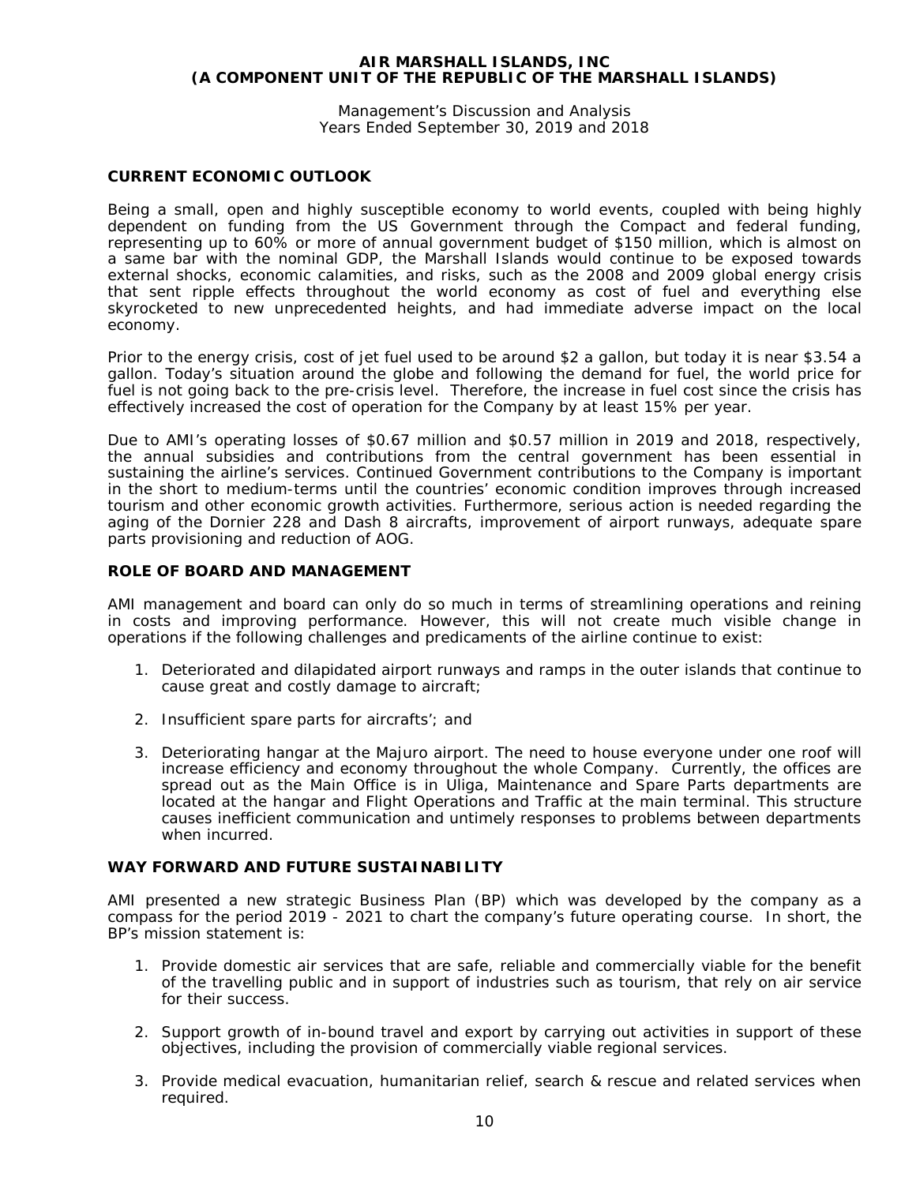Management's Discussion and Analysis Years Ended September 30, 2019 and 2018

## **CURRENT ECONOMIC OUTLOOK**

Being a small, open and highly susceptible economy to world events, coupled with being highly dependent on funding from the US Government through the Compact and federal funding, representing up to 60% or more of annual government budget of \$150 million, which is almost on a same bar with the nominal GDP, the Marshall Islands would continue to be exposed towards external shocks, economic calamities, and risks, such as the 2008 and 2009 global energy crisis that sent ripple effects throughout the world economy as cost of fuel and everything else skyrocketed to new unprecedented heights, and had immediate adverse impact on the local economy.

Prior to the energy crisis, cost of jet fuel used to be around \$2 a gallon, but today it is near \$3.54 a gallon. Today's situation around the globe and following the demand for fuel, the world price for fuel is not going back to the pre-crisis level. Therefore, the increase in fuel cost since the crisis has effectively increased the cost of operation for the Company by at least 15% per year.

Due to AMI's operating losses of \$0.67 million and \$0.57 million in 2019 and 2018, respectively, the annual subsidies and contributions from the central government has been essential in sustaining the airline's services. Continued Government contributions to the Company is important in the short to medium-terms until the countries' economic condition improves through increased tourism and other economic growth activities. Furthermore, serious action is needed regarding the aging of the Dornier 228 and Dash 8 aircrafts, improvement of airport runways, adequate spare parts provisioning and reduction of AOG.

## **ROLE OF BOARD AND MANAGEMENT**

AMI management and board can only do so much in terms of streamlining operations and reining in costs and improving performance. However, this will not create much visible change in operations if the following challenges and predicaments of the airline continue to exist:

- 1. Deteriorated and dilapidated airport runways and ramps in the outer islands that continue to cause great and costly damage to aircraft;
- 2. Insufficient spare parts for aircrafts'; and
- 3. Deteriorating hangar at the Majuro airport. The need to house everyone under one roof will increase efficiency and economy throughout the whole Company. Currently, the offices are spread out as the Main Office is in Uliga, Maintenance and Spare Parts departments are located at the hangar and Flight Operations and Traffic at the main terminal. This structure causes inefficient communication and untimely responses to problems between departments when incurred.

## **WAY FORWARD AND FUTURE SUSTAINABILITY**

AMI presented a new strategic Business Plan (BP) which was developed by the company as a compass for the period 2019 - 2021 to chart the company's future operating course. In short, the BP's mission statement is:

- 1. Provide domestic air services that are safe, reliable and commercially viable for the benefit of the travelling public and in support of industries such as tourism, that rely on air service for their success.
- 2. Support growth of in-bound travel and export by carrying out activities in support of these objectives, including the provision of commercially viable regional services.
- 3. Provide medical evacuation, humanitarian relief, search & rescue and related services when required.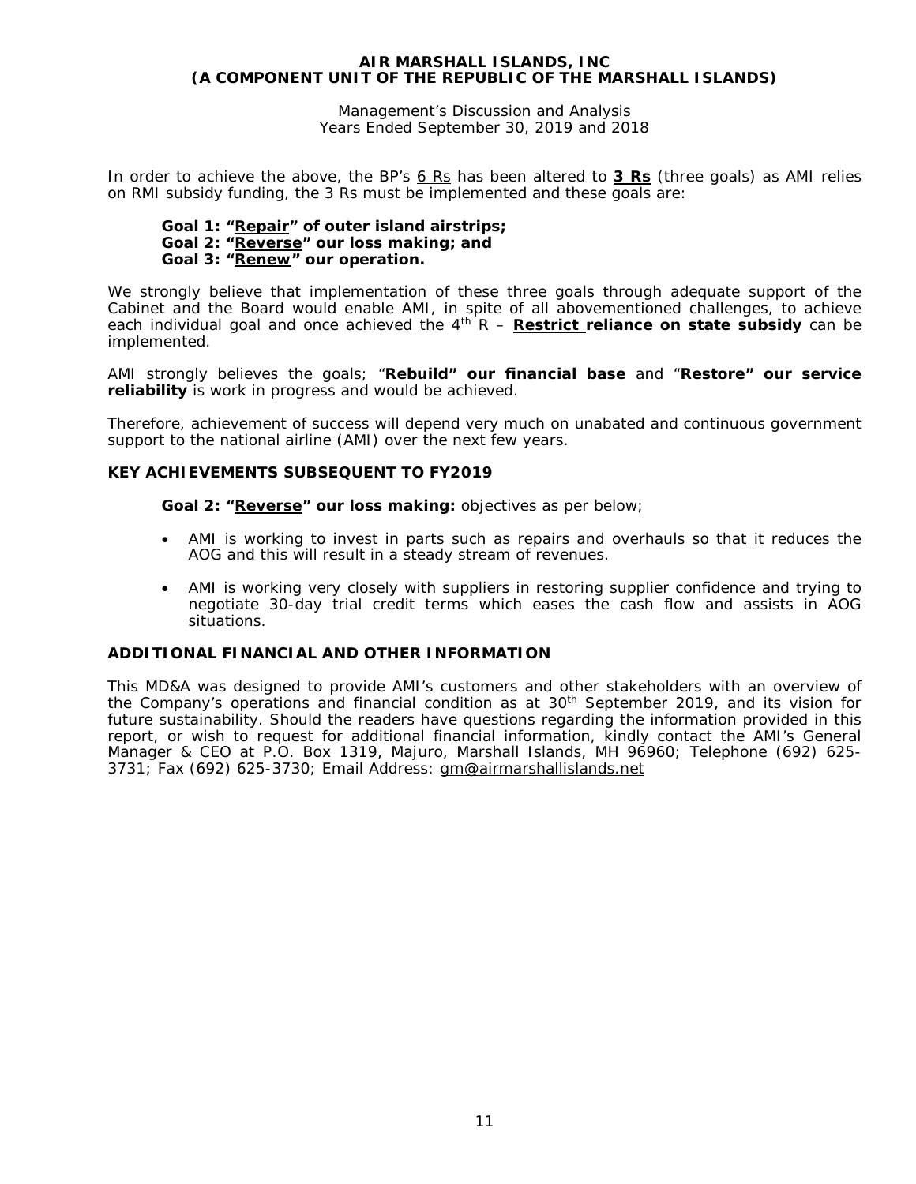Management's Discussion and Analysis Years Ended September 30, 2019 and 2018

In order to achieve the above, the BP's *6 Rs* has been altered to **3 Rs** (three goals) as AMI relies on RMI subsidy funding, the 3 Rs must be implemented and these goals are:

## *Goal 1: "Repair" of outer island airstrips; Goal 2: "Reverse" our loss making; and Goal 3: "Renew" our operation.*

We strongly believe that implementation of these three goals through adequate support of the Cabinet and the Board would enable AMI, in spite of all abovementioned challenges, to achieve each individual goal and once achieved the 4<sup>th</sup> R – **Restrict reliance on state subsidy** can be implemented.

AMI strongly believes the goals; "**Rebuild" our financial base** and "**Restore" our service reliability** is work in progress and would be achieved.

Therefore, achievement of success will depend very much on unabated and continuous government support to the national airline (AMI) over the next few years.

## **KEY ACHIEVEMENTS SUBSEQUENT TO FY2019**

**Goal 2: "Reverse" our loss making:** objectives as per below;

- AMI is working to invest in parts such as repairs and overhauls so that it reduces the AOG and this will result in a steady stream of revenues.
- AMI is working very closely with suppliers in restoring supplier confidence and trying to negotiate 30-day trial credit terms which eases the cash flow and assists in AOG situations.

## **ADDITIONAL FINANCIAL AND OTHER INFORMATION**

This MD&A was designed to provide AMI's customers and other stakeholders with an overview of the Company's operations and financial condition as at  $30<sup>th</sup>$  September 2019, and its vision for future sustainability. Should the readers have questions regarding the information provided in this report, or wish to request for additional financial information, kindly contact the AMI's General Manager & CEO at P.O. Box 1319, Majuro, Marshall Islands, MH 96960; Telephone (692) 625- 3731; Fax (692) 625-3730; Email Address: [gm@airmarshallislands.](mailto:gm@airmarshallislands)net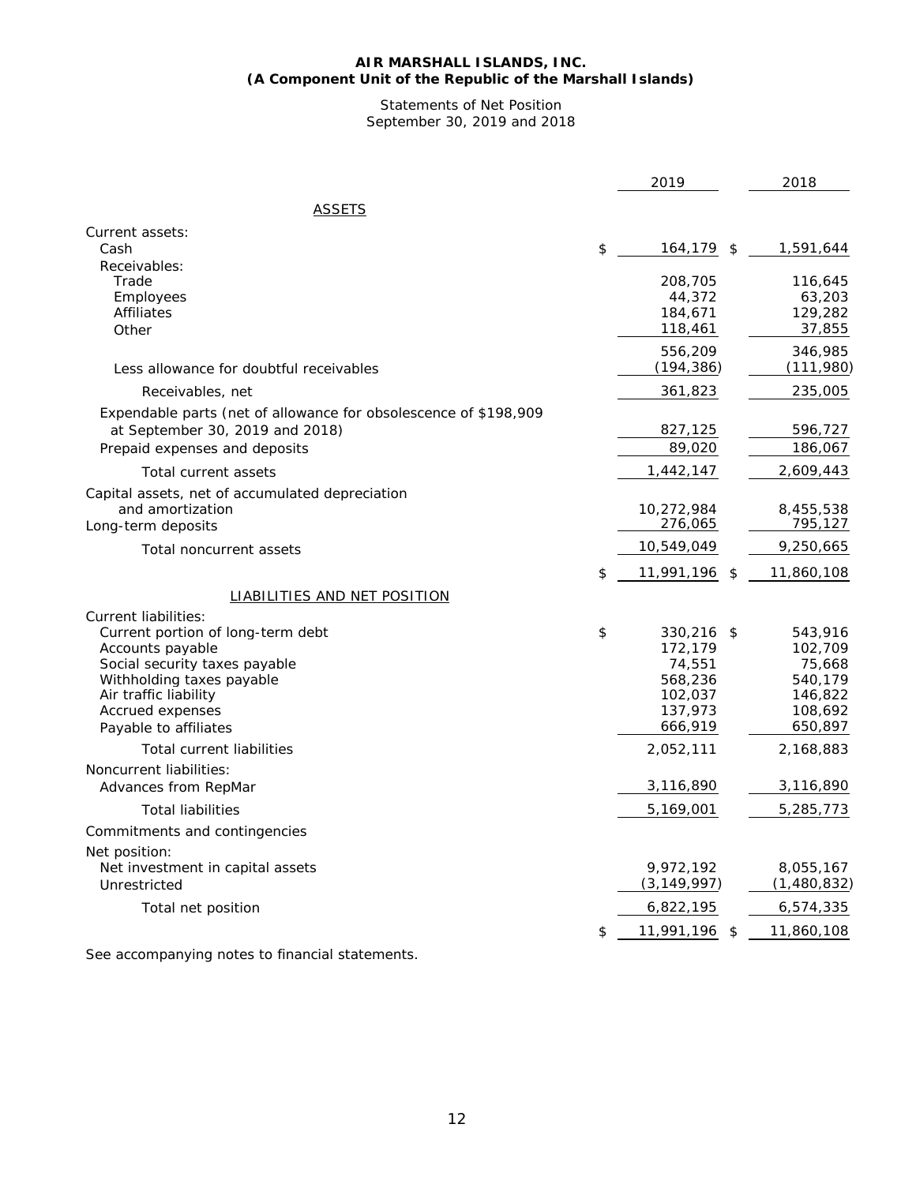#### **AIR MARSHALL ISLANDS, INC. (A Component Unit of the Republic of the Marshall Islands)**

Statements of Net Position September 30, 2019 and 2018

|                                                                                                                                                                                                                   | 2019                                                                           | 2018                                                                           |
|-------------------------------------------------------------------------------------------------------------------------------------------------------------------------------------------------------------------|--------------------------------------------------------------------------------|--------------------------------------------------------------------------------|
| ASSETS                                                                                                                                                                                                            |                                                                                |                                                                                |
| Current assets:<br>Cash                                                                                                                                                                                           | \$<br>164,179                                                                  | \$<br>1,591,644                                                                |
| Receivables:<br>Trade<br>Employees<br><b>Affiliates</b><br>Other                                                                                                                                                  | 208,705<br>44,372<br>184,671<br>118,461                                        | 116,645<br>63,203<br>129,282<br>37,855                                         |
| Less allowance for doubtful receivables                                                                                                                                                                           | 556,209<br>(194, 386)                                                          | 346,985<br>(111,980)                                                           |
| Receivables, net                                                                                                                                                                                                  | 361,823                                                                        | 235,005                                                                        |
| Expendable parts (net of allowance for obsolescence of \$198,909<br>at September 30, 2019 and 2018)<br>Prepaid expenses and deposits                                                                              | 827,125<br>89,020                                                              | 596,727<br>186,067                                                             |
| Total current assets                                                                                                                                                                                              | 1,442,147                                                                      | 2,609,443                                                                      |
| Capital assets, net of accumulated depreciation                                                                                                                                                                   |                                                                                |                                                                                |
| and amortization<br>Long-term deposits                                                                                                                                                                            | 10,272,984<br>276,065                                                          | 8,455,538<br>795,127                                                           |
| Total noncurrent assets                                                                                                                                                                                           | 10,549,049                                                                     | 9,250,665                                                                      |
|                                                                                                                                                                                                                   | \$<br>11,991,196                                                               | \$<br>11,860,108                                                               |
| <b>LIABILITIES AND NET POSITION</b>                                                                                                                                                                               |                                                                                |                                                                                |
| Current liabilities:<br>Current portion of long-term debt<br>Accounts payable<br>Social security taxes payable<br>Withholding taxes payable<br>Air traffic liability<br>Accrued expenses<br>Payable to affiliates | \$<br>330,216<br>172,179<br>74,551<br>568,236<br>102,037<br>137,973<br>666,919 | \$<br>543,916<br>102,709<br>75,668<br>540,179<br>146,822<br>108,692<br>650,897 |
| <b>Total current liabilities</b>                                                                                                                                                                                  | 2,052,111                                                                      | 2,168,883                                                                      |
| Noncurrent liabilities:<br>Advances from RepMar                                                                                                                                                                   | 3,116,890                                                                      | 3,116,890                                                                      |
| <b>Total liabilities</b>                                                                                                                                                                                          | 5,169,001                                                                      | 5,285,773                                                                      |
| Commitments and contingencies                                                                                                                                                                                     |                                                                                |                                                                                |
| Net position:<br>Net investment in capital assets<br>Unrestricted                                                                                                                                                 | 9,972,192<br>(3, 149, 997)                                                     | 8,055,167<br>(1,480,832)                                                       |
| Total net position                                                                                                                                                                                                | 6,822,195                                                                      | 6,574,335                                                                      |
|                                                                                                                                                                                                                   | \$<br>11,991,196                                                               | \$<br>11,860,108                                                               |

See accompanying notes to financial statements.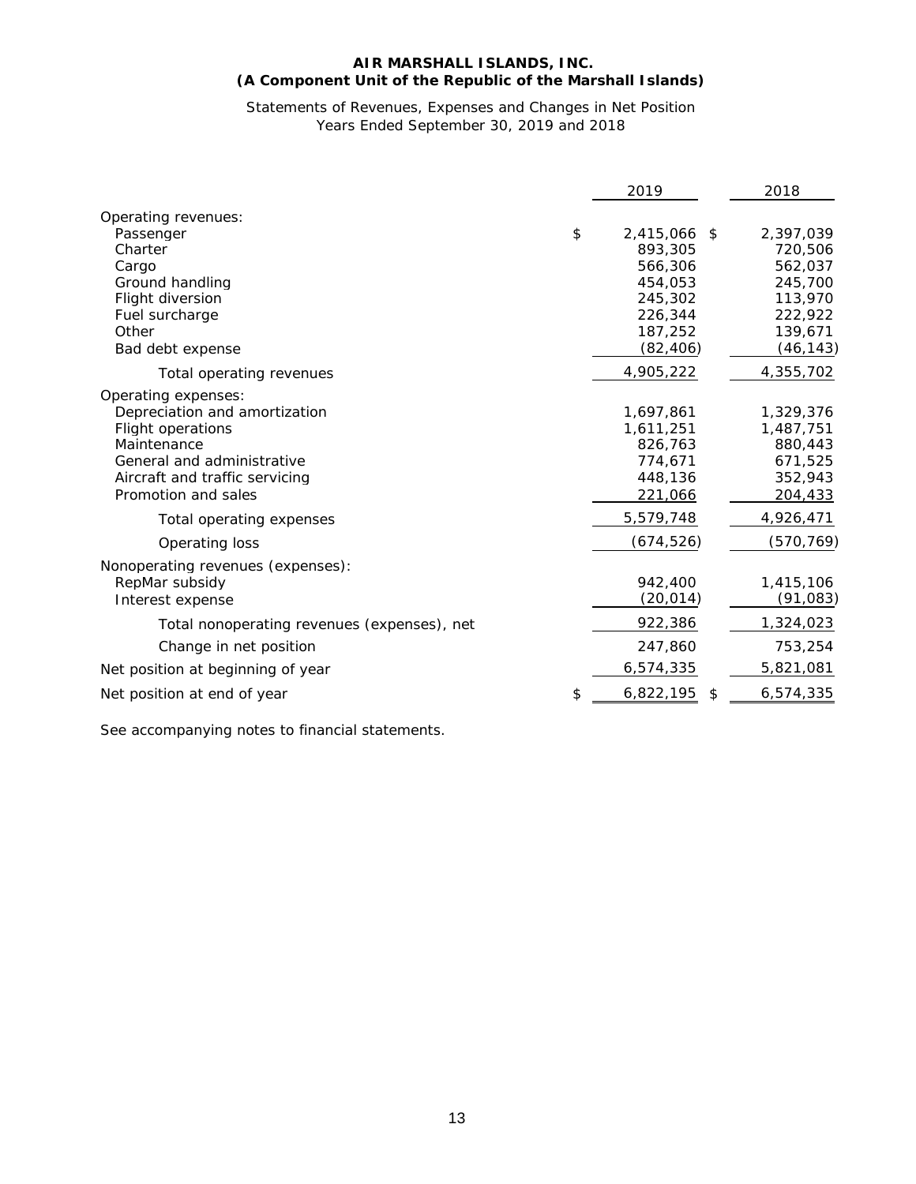## **AIR MARSHALL ISLANDS, INC. (A Component Unit of the Republic of the Marshall Islands)**

## Statements of Revenues, Expenses and Changes in Net Position Years Ended September 30, 2019 and 2018

|                                             | 2019                  | 2018      |
|---------------------------------------------|-----------------------|-----------|
| Operating revenues:                         |                       |           |
| Passenger                                   | \$<br>2,415,066 \$    | 2,397,039 |
| Charter                                     | 893,305               | 720,506   |
| Cargo                                       | 566,306               | 562,037   |
| Ground handling                             | 454,053               | 245,700   |
| Flight diversion                            | 245,302               | 113,970   |
| Fuel surcharge                              | 226,344               | 222,922   |
| Other                                       | 187,252               | 139,671   |
| Bad debt expense                            | (82, 406)             | (46, 143) |
| Total operating revenues                    | 4,905,222             | 4,355,702 |
| Operating expenses:                         |                       |           |
| Depreciation and amortization               | 1,697,861             | 1,329,376 |
| <b>Flight operations</b>                    | 1,611,251             | 1,487,751 |
| Maintenance                                 | 826,763               | 880,443   |
| General and administrative                  | 774.671               | 671,525   |
| Aircraft and traffic servicing              | 448,136               | 352,943   |
| Promotion and sales                         | 221,066               | 204,433   |
| Total operating expenses                    | 5,579,748             | 4,926,471 |
| Operating loss                              | (674, 526)            | (570,769) |
| Nonoperating revenues (expenses):           |                       |           |
| RepMar subsidy                              | 942,400               | 1,415,106 |
| Interest expense                            | (20, 014)             | (91, 083) |
| Total nonoperating revenues (expenses), net | 922,386               | 1,324,023 |
| Change in net position                      | 247,860               | 753,254   |
|                                             |                       |           |
| Net position at beginning of year           | 6,574,335             | 5,821,081 |
| Net position at end of year                 | \$<br>6,822,195<br>\$ | 6,574,335 |
|                                             |                       |           |

See accompanying notes to financial statements.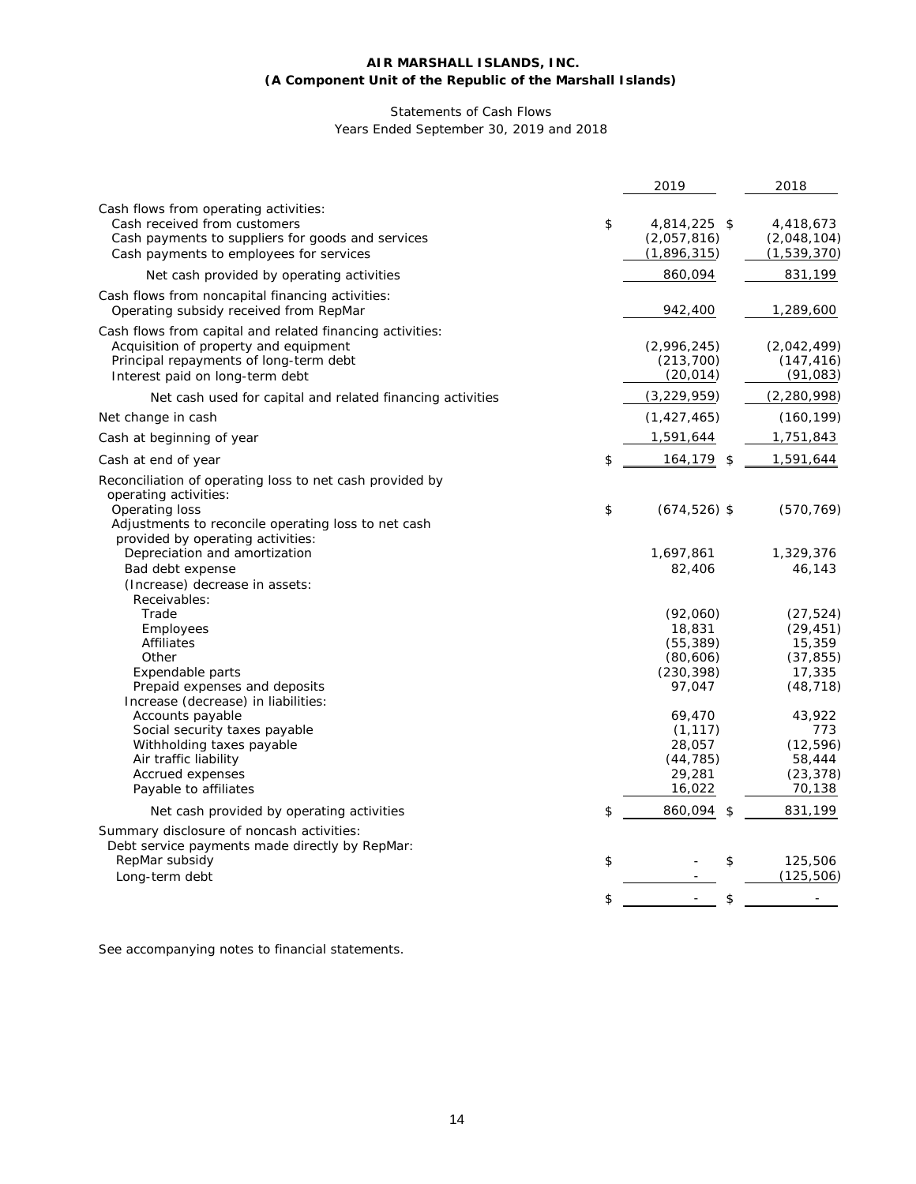## **AIR MARSHALL ISLANDS, INC. (A Component Unit of the Republic of the Marshall Islands)**

## Statements of Cash Flows Years Ended September 30, 2019 and 2018

|                                                                                                                                                                                 | 2019                                             | 2018                                    |
|---------------------------------------------------------------------------------------------------------------------------------------------------------------------------------|--------------------------------------------------|-----------------------------------------|
| Cash flows from operating activities:<br>Cash received from customers<br>Cash payments to suppliers for goods and services<br>Cash payments to employees for services           | \$<br>4,814,225 \$<br>(2,057,816)<br>(1,896,315) | 4,418,673<br>(2,048,104)<br>(1,539,370) |
| Net cash provided by operating activities                                                                                                                                       | 860,094                                          | 831,199                                 |
| Cash flows from noncapital financing activities:<br>Operating subsidy received from RepMar                                                                                      | 942,400                                          | 1,289,600                               |
| Cash flows from capital and related financing activities:<br>Acquisition of property and equipment<br>Principal repayments of long-term debt<br>Interest paid on long-term debt | (2,996,245)<br>(213, 700)<br>(20, 014)           | (2,042,499)<br>(147, 416)<br>(91, 083)  |
| Net cash used for capital and related financing activities                                                                                                                      | (3, 229, 959)                                    | (2, 280, 998)                           |
| Net change in cash                                                                                                                                                              | (1, 427, 465)                                    | (160, 199)                              |
| Cash at beginning of year                                                                                                                                                       | 1,591,644                                        | 1,751,843                               |
| Cash at end of year                                                                                                                                                             | \$<br>164,179 \$                                 | 1,591,644                               |
| Reconciliation of operating loss to net cash provided by<br>operating activities:                                                                                               |                                                  |                                         |
| Operating loss<br>Adjustments to reconcile operating loss to net cash<br>provided by operating activities:                                                                      | \$<br>$(674, 526)$ \$                            | (570, 769)                              |
| Depreciation and amortization                                                                                                                                                   | 1,697,861                                        | 1,329,376                               |
| Bad debt expense                                                                                                                                                                | 82,406                                           | 46,143                                  |
| (Increase) decrease in assets:<br>Receivables:                                                                                                                                  |                                                  |                                         |
| Trade                                                                                                                                                                           | (92,060)                                         | (27, 524)                               |
| Employees                                                                                                                                                                       | 18,831                                           | (29, 451)                               |
| <b>Affiliates</b>                                                                                                                                                               | (55, 389)                                        | 15,359                                  |
| Other                                                                                                                                                                           | (80,606)                                         | (37, 855)                               |
| Expendable parts                                                                                                                                                                | (230, 398)                                       | 17,335                                  |
| Prepaid expenses and deposits<br>Increase (decrease) in liabilities:                                                                                                            | 97,047                                           | (48, 718)                               |
| Accounts payable                                                                                                                                                                | 69,470                                           | 43,922                                  |
| Social security taxes payable                                                                                                                                                   | (1, 117)                                         | 773                                     |
| Withholding taxes payable                                                                                                                                                       | 28,057                                           | (12, 596)                               |
| Air traffic liability                                                                                                                                                           | (44, 785)                                        | 58,444                                  |
| Accrued expenses                                                                                                                                                                | 29,281                                           | (23, 378)                               |
| Payable to affiliates                                                                                                                                                           | 16,022                                           | 70,138                                  |
| Net cash provided by operating activities                                                                                                                                       | \$<br>860,094<br>\$                              | 831,199                                 |
| Summary disclosure of noncash activities:<br>Debt service payments made directly by RepMar:                                                                                     |                                                  |                                         |
| RepMar subsidy<br>Long-term debt                                                                                                                                                | \$<br>\$                                         | 125,506<br>(125, 506)                   |
|                                                                                                                                                                                 | \$<br>\$                                         |                                         |
|                                                                                                                                                                                 |                                                  |                                         |

See accompanying notes to financial statements.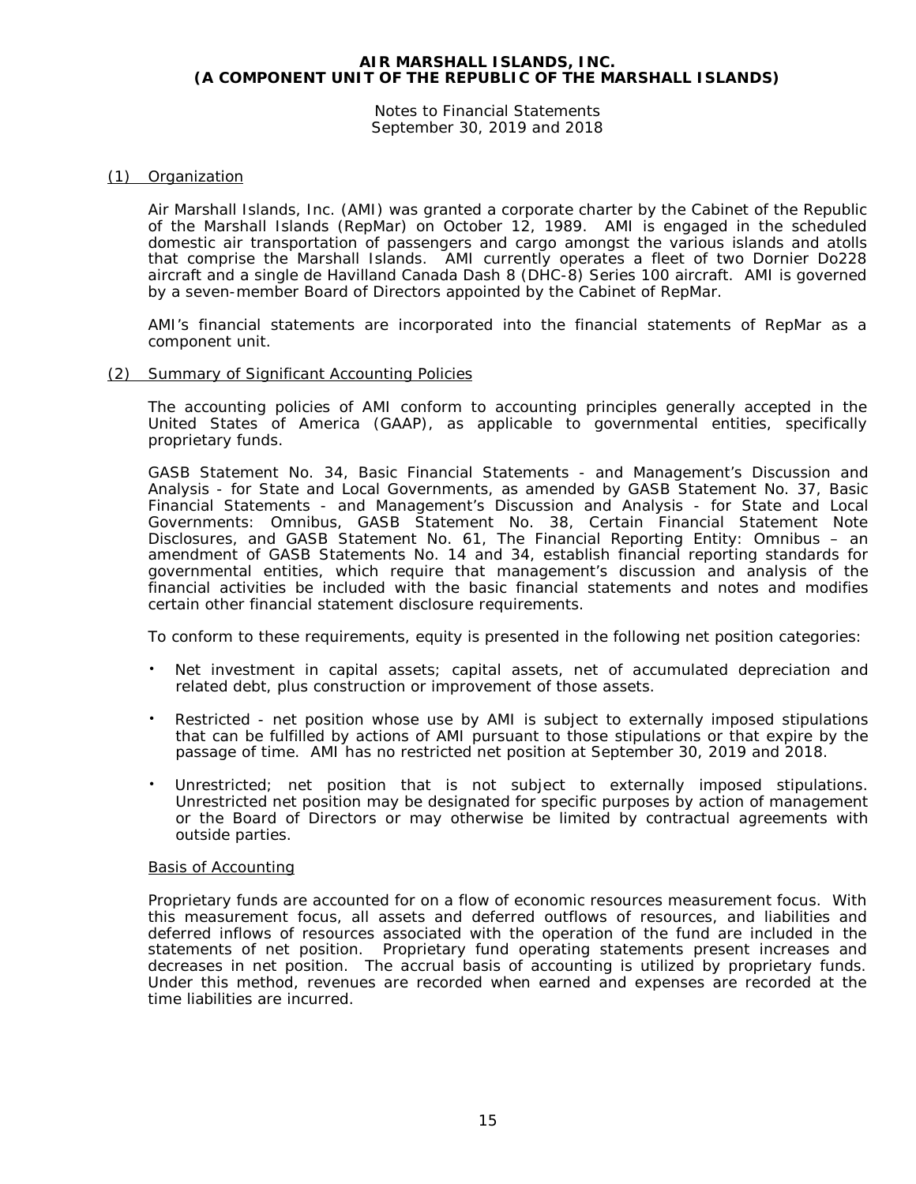Notes to Financial Statements September 30, 2019 and 2018

## (1) Organization

Air Marshall Islands, Inc. (AMI) was granted a corporate charter by the Cabinet of the Republic of the Marshall Islands (RepMar) on October 12, 1989. AMI is engaged in the scheduled domestic air transportation of passengers and cargo amongst the various islands and atolls that comprise the Marshall Islands. AMI currently operates a fleet of two Dornier Do228 aircraft and a single de Havilland Canada Dash 8 (DHC-8) Series 100 aircraft. AMI is governed by a seven-member Board of Directors appointed by the Cabinet of RepMar.

AMI's financial statements are incorporated into the financial statements of RepMar as a component unit.

## (2) Summary of Significant Accounting Policies

The accounting policies of AMI conform to accounting principles generally accepted in the United States of America (GAAP), as applicable to governmental entities, specifically proprietary funds.

GASB Statement No. 34, *Basic Financial Statements - and Management's Discussion and Analysis - for State and Local Governments*, as amended by GASB Statement No. 37, *Basic Financial Statements - and Management's Discussion and Analysis - for State and Local Governments: Omnibus*, GASB Statement No. 38, *Certain Financial Statement Note Disclosures*, and GASB Statement No. 61, *The Financial Reporting Entity: Omnibus – an amendment of GASB Statements No. 14 and 34*, establish financial reporting standards for governmental entities, which require that management's discussion and analysis of the financial activities be included with the basic financial statements and notes and modifies certain other financial statement disclosure requirements.

To conform to these requirements, equity is presented in the following net position categories:

- Net investment in capital assets; capital assets, net of accumulated depreciation and related debt, plus construction or improvement of those assets.
- Restricted net position whose use by AMI is subject to externally imposed stipulations that can be fulfilled by actions of AMI pursuant to those stipulations or that expire by the passage of time. AMI has no restricted net position at September 30, 2019 and 2018.
- Unrestricted; net position that is not subject to externally imposed stipulations. Unrestricted net position may be designated for specific purposes by action of management or the Board of Directors or may otherwise be limited by contractual agreements with outside parties.

#### Basis of Accounting

Proprietary funds are accounted for on a flow of economic resources measurement focus. With this measurement focus, all assets and deferred outflows of resources, and liabilities and deferred inflows of resources associated with the operation of the fund are included in the statements of net position. Proprietary fund operating statements present increases and decreases in net position. The accrual basis of accounting is utilized by proprietary funds. Under this method, revenues are recorded when earned and expenses are recorded at the time liabilities are incurred.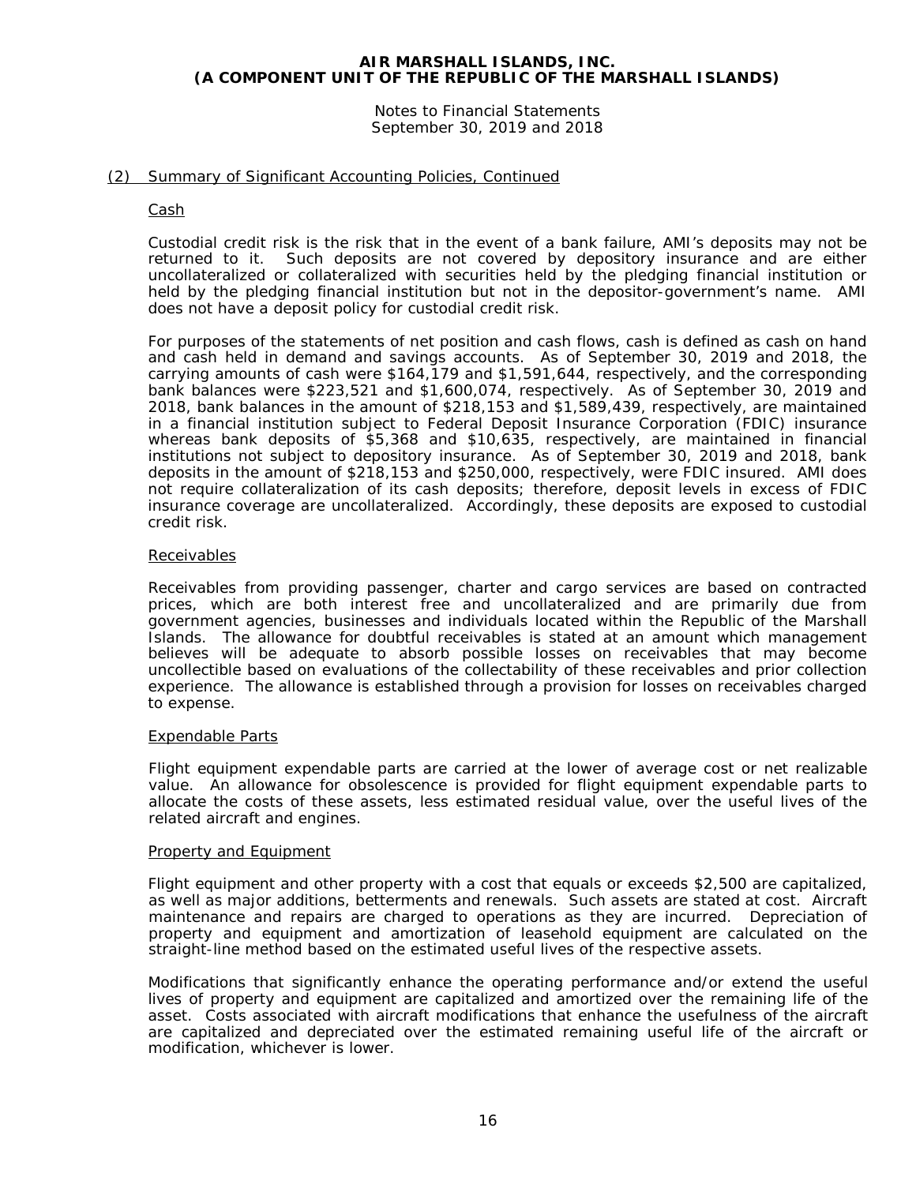Notes to Financial Statements September 30, 2019 and 2018

## (2) Summary of Significant Accounting Policies, Continued

#### Cash

Custodial credit risk is the risk that in the event of a bank failure, AMI's deposits may not be returned to it. Such deposits are not covered by depository insurance and are either uncollateralized or collateralized with securities held by the pledging financial institution or held by the pledging financial institution but not in the depositor-government's name. AMI does not have a deposit policy for custodial credit risk.

For purposes of the statements of net position and cash flows, cash is defined as cash on hand and cash held in demand and savings accounts. As of September 30, 2019 and 2018, the carrying amounts of cash were \$164,179 and \$1,591,644, respectively, and the corresponding bank balances were \$223,521 and \$1,600,074, respectively. As of September 30, 2019 and 2018, bank balances in the amount of \$218,153 and \$1,589,439, respectively, are maintained in a financial institution subject to Federal Deposit Insurance Corporation (FDIC) insurance whereas bank deposits of \$5,368 and \$10,635, respectively, are maintained in financial institutions not subject to depository insurance. As of September 30, 2019 and 2018, bank deposits in the amount of \$218,153 and \$250,000, respectively, were FDIC insured. AMI does not require collateralization of its cash deposits; therefore, deposit levels in excess of FDIC insurance coverage are uncollateralized. Accordingly, these deposits are exposed to custodial credit risk.

## Receivables

Receivables from providing passenger, charter and cargo services are based on contracted prices, which are both interest free and uncollateralized and are primarily due from government agencies, businesses and individuals located within the Republic of the Marshall Islands. The allowance for doubtful receivables is stated at an amount which management believes will be adequate to absorb possible losses on receivables that may become uncollectible based on evaluations of the collectability of these receivables and prior collection experience. The allowance is established through a provision for losses on receivables charged to expense.

#### Expendable Parts

Flight equipment expendable parts are carried at the lower of average cost or net realizable value. An allowance for obsolescence is provided for flight equipment expendable parts to allocate the costs of these assets, less estimated residual value, over the useful lives of the related aircraft and engines.

#### Property and Equipment

Flight equipment and other property with a cost that equals or exceeds \$2,500 are capitalized, as well as major additions, betterments and renewals. Such assets are stated at cost. Aircraft maintenance and repairs are charged to operations as they are incurred. Depreciation of property and equipment and amortization of leasehold equipment are calculated on the straight-line method based on the estimated useful lives of the respective assets.

Modifications that significantly enhance the operating performance and/or extend the useful lives of property and equipment are capitalized and amortized over the remaining life of the asset. Costs associated with aircraft modifications that enhance the usefulness of the aircraft are capitalized and depreciated over the estimated remaining useful life of the aircraft or modification, whichever is lower.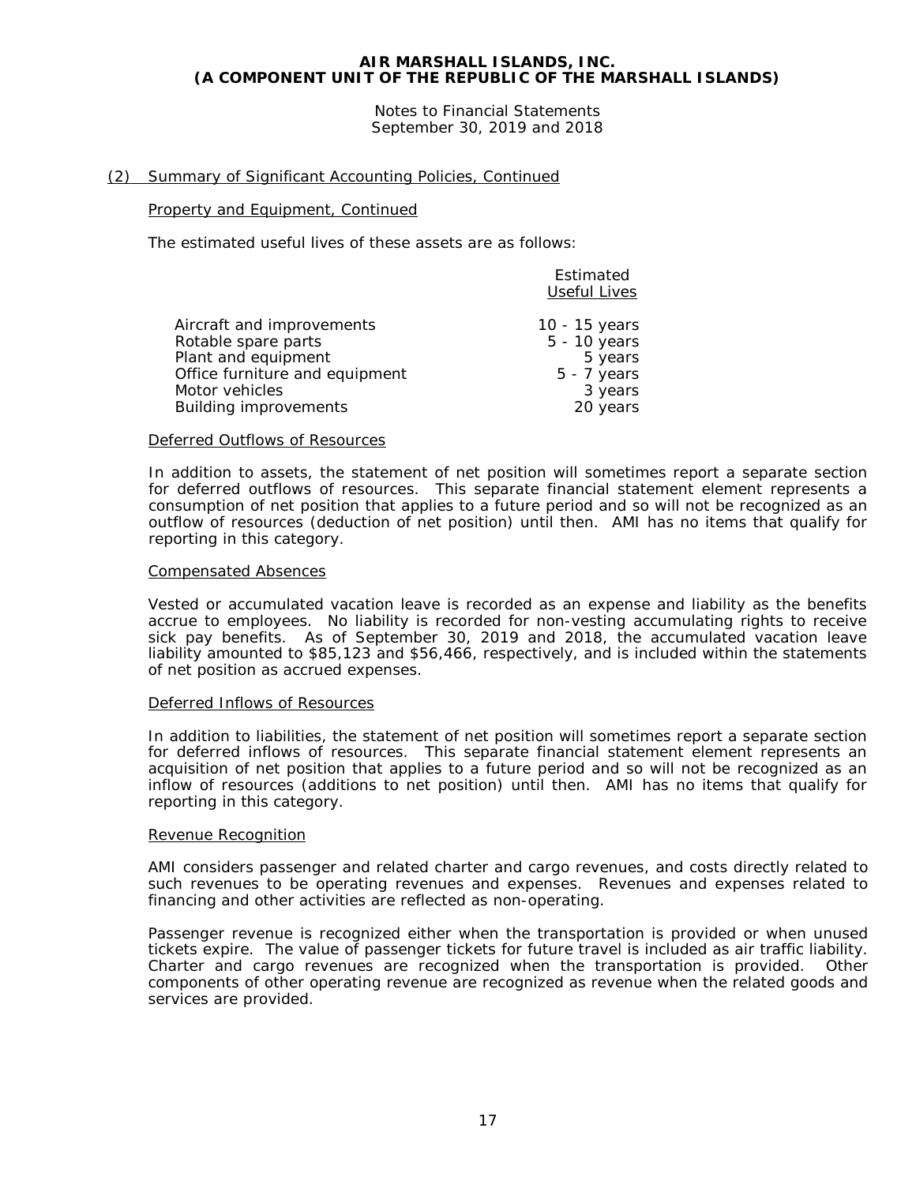Notes to Financial Statements September 30, 2019 and 2018

## (2) Summary of Significant Accounting Policies, Continued

#### Property and Equipment, Continued

The estimated useful lives of these assets are as follows:

|                                | Estimated<br><b>Useful Lives</b> |
|--------------------------------|----------------------------------|
| Aircraft and improvements      | 10 - 15 years                    |
| Rotable spare parts            | 5 - 10 years                     |
| Plant and equipment            | 5 years                          |
| Office furniture and equipment | $5 - 7$ years                    |
| Motor vehicles                 | 3 years                          |
| <b>Building improvements</b>   | 20 years                         |

#### Deferred Outflows of Resources

In addition to assets, the statement of net position will sometimes report a separate section for deferred outflows of resources. This separate financial statement element represents a consumption of net position that applies to a future period and so will not be recognized as an outflow of resources (deduction of net position) until then. AMI has no items that qualify for reporting in this category.

## Compensated Absences

Vested or accumulated vacation leave is recorded as an expense and liability as the benefits accrue to employees. No liability is recorded for non-vesting accumulating rights to receive sick pay benefits. As of September 30, 2019 and 2018, the accumulated vacation leave liability amounted to \$85,123 and \$56,466, respectively, and is included within the statements of net position as accrued expenses.

#### Deferred Inflows of Resources

In addition to liabilities, the statement of net position will sometimes report a separate section for deferred inflows of resources. This separate financial statement element represents an acquisition of net position that applies to a future period and so will not be recognized as an inflow of resources (additions to net position) until then. AMI has no items that qualify for reporting in this category.

#### Revenue Recognition

AMI considers passenger and related charter and cargo revenues, and costs directly related to such revenues to be operating revenues and expenses. Revenues and expenses related to financing and other activities are reflected as non-operating.

Passenger revenue is recognized either when the transportation is provided or when unused tickets expire. The value of passenger tickets for future travel is included as air traffic liability. Charter and cargo revenues are recognized when the transportation is provided. Other components of other operating revenue are recognized as revenue when the related goods and services are provided.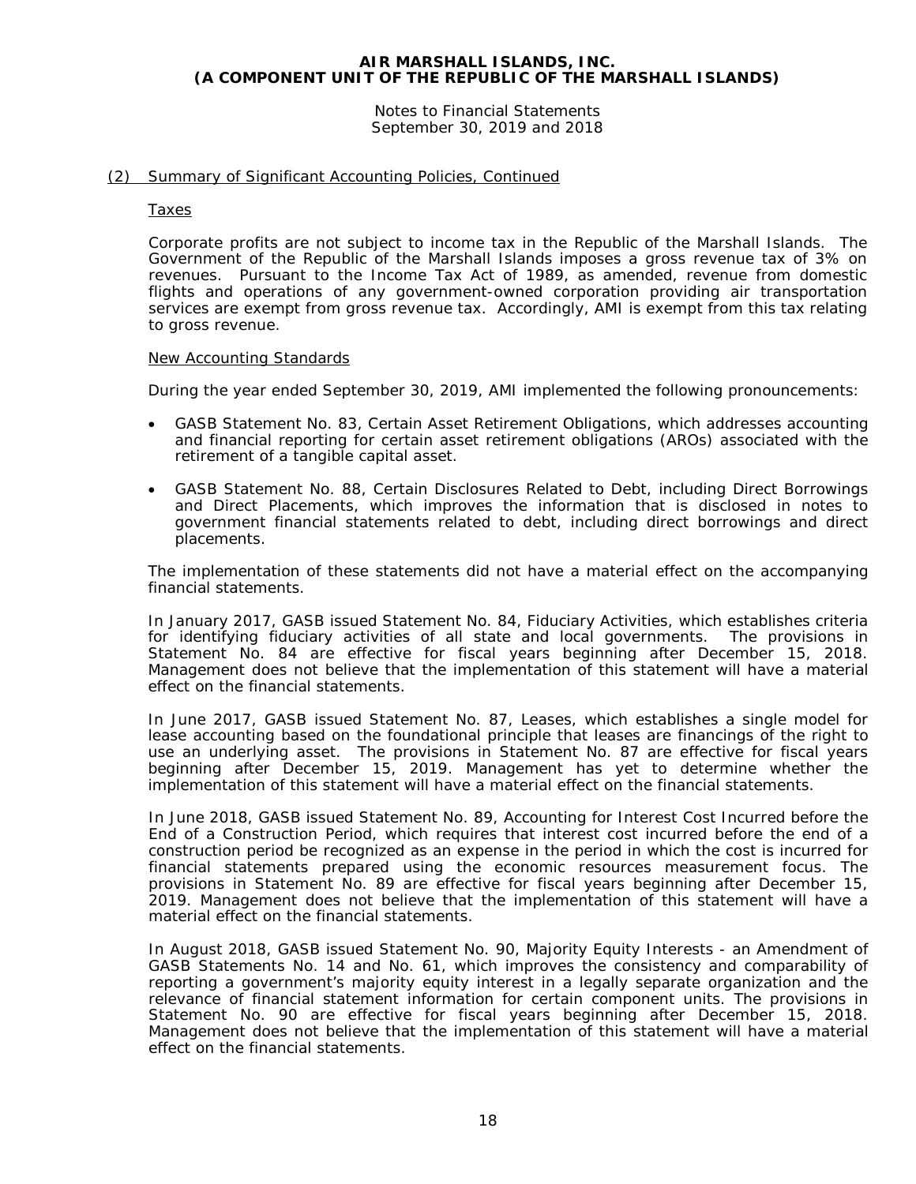Notes to Financial Statements September 30, 2019 and 2018

## (2) Summary of Significant Accounting Policies, Continued

#### Taxes

Corporate profits are not subject to income tax in the Republic of the Marshall Islands. The Government of the Republic of the Marshall Islands imposes a gross revenue tax of 3% on revenues. Pursuant to the Income Tax Act of 1989, as amended, revenue from domestic flights and operations of any government-owned corporation providing air transportation services are exempt from gross revenue tax. Accordingly, AMI is exempt from this tax relating to gross revenue.

#### New Accounting Standards

During the year ended September 30, 2019, AMI implemented the following pronouncements:

- GASB Statement No. 83, *Certain Asset Retirement Obligations*, which addresses accounting and financial reporting for certain asset retirement obligations (AROs) associated with the retirement of a tangible capital asset.
- GASB Statement No. 88, *Certain Disclosures Related to Debt, including Direct Borrowings and Direct Placements*, which improves the information that is disclosed in notes to government financial statements related to debt, including direct borrowings and direct placements.

The implementation of these statements did not have a material effect on the accompanying financial statements.

In January 2017, GASB issued Statement No. 84, *Fiduciary Activities*, which establishes criteria for identifying fiduciary activities of all state and local governments. The provisions in Statement No. 84 are effective for fiscal years beginning after December 15, 2018. Management does not believe that the implementation of this statement will have a material effect on the financial statements.

In June 2017, GASB issued Statement No. 87, *Leases*, which establishes a single model for lease accounting based on the foundational principle that leases are financings of the right to use an underlying asset. The provisions in Statement No. 87 are effective for fiscal years beginning after December 15, 2019. Management has yet to determine whether the implementation of this statement will have a material effect on the financial statements.

In June 2018, GASB issued Statement No. 89, *Accounting for Interest Cost Incurred before the End of a Construction Period*, which requires that interest cost incurred before the end of a construction period be recognized as an expense in the period in which the cost is incurred for financial statements prepared using the economic resources measurement focus. The provisions in Statement No. 89 are effective for fiscal years beginning after December 15, 2019. Management does not believe that the implementation of this statement will have a material effect on the financial statements.

In August 2018, GASB issued Statement No. 90, *Majority Equity Interests - an Amendment of GASB Statements No. 14 and No. 61,* which improves the consistency and comparability of reporting a government's majority equity interest in a legally separate organization and the relevance of financial statement information for certain component units. The provisions in Statement No. 90 are effective for fiscal years beginning after December 15, 2018. Management does not believe that the implementation of this statement will have a material effect on the financial statements.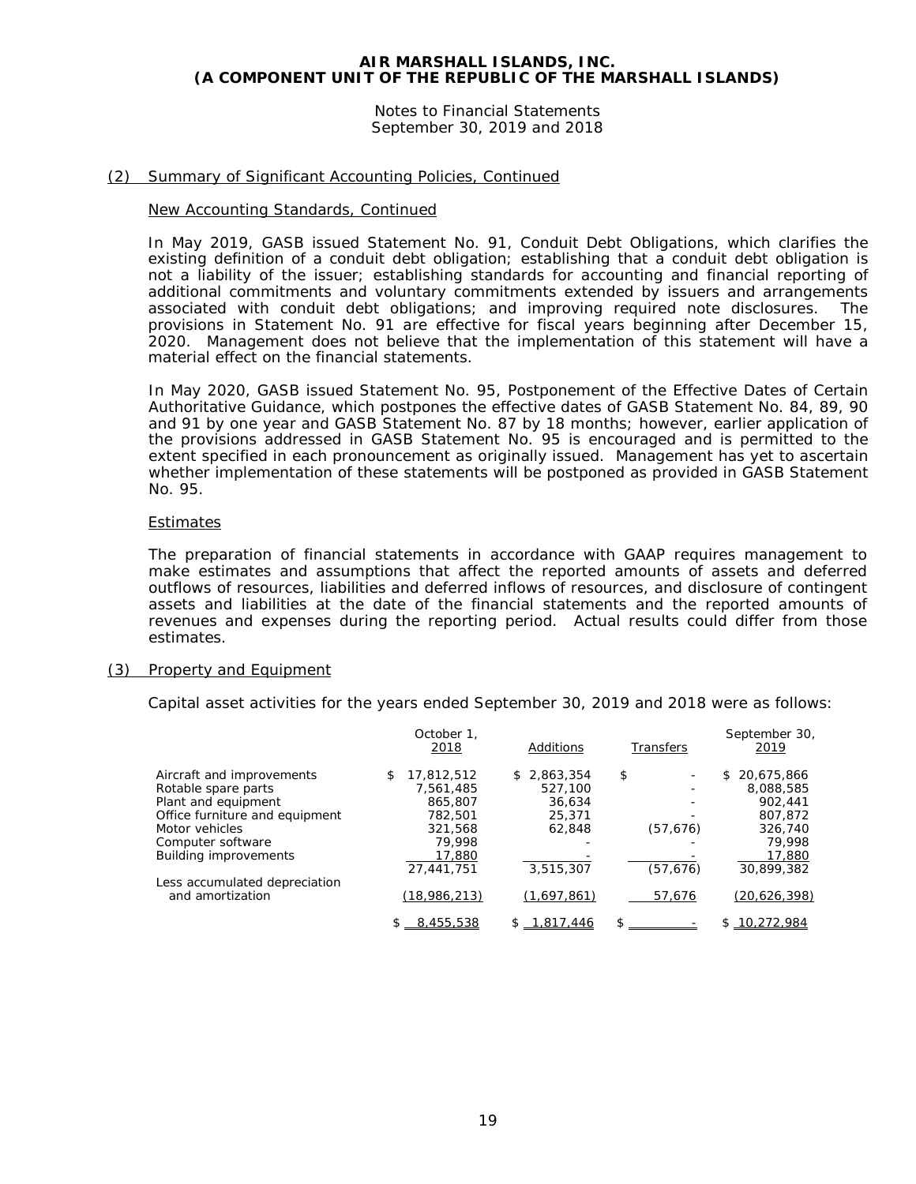Notes to Financial Statements September 30, 2019 and 2018

## (2) Summary of Significant Accounting Policies, Continued

#### New Accounting Standards, Continued

In May 2019, GASB issued Statement No. 91, *Conduit Debt Obligations*, which clarifies the existing definition of a conduit debt obligation; establishing that a conduit debt obligation is not a liability of the issuer; establishing standards for accounting and financial reporting of additional commitments and voluntary commitments extended by issuers and arrangements associated with conduit debt obligations; and improving required note disclosures. The provisions in Statement No. 91 are effective for fiscal years beginning after December 15, 2020. Management does not believe that the implementation of this statement will have a material effect on the financial statements.

In May 2020, GASB issued Statement No. 95, *Postponement of the Effective Dates of Certain Authoritative Guidance*, which postpones the effective dates of GASB Statement No. 84, 89, 90 and 91 by one year and GASB Statement No. 87 by 18 months; however, earlier application of the provisions addressed in GASB Statement No. 95 is encouraged and is permitted to the extent specified in each pronouncement as originally issued. Management has yet to ascertain whether implementation of these statements will be postponed as provided in GASB Statement No. 95.

#### **Estimates**

The preparation of financial statements in accordance with GAAP requires management to make estimates and assumptions that affect the reported amounts of assets and deferred outflows of resources, liabilities and deferred inflows of resources, and disclosure of contingent assets and liabilities at the date of the financial statements and the reported amounts of revenues and expenses during the reporting period. Actual results could differ from those estimates.

#### (3) Property and Equipment

Capital asset activities for the years ended September 30, 2019 and 2018 were as follows:

|                                | October 1.<br>2018 | Additions   | Transfers | September 30,<br>2019 |
|--------------------------------|--------------------|-------------|-----------|-----------------------|
| Aircraft and improvements      | 17,812,512<br>\$   | \$2,863,354 | \$        | 20,675,866<br>\$      |
| Rotable spare parts            | 7,561,485          | 527,100     |           | 8,088,585             |
| Plant and equipment            | 865,807            | 36.634      |           | 902,441               |
| Office furniture and equipment | 782.501            | 25,371      |           | 807,872               |
| Motor vehicles                 | 321.568            | 62.848      | (57, 676) | 326,740               |
| Computer software              | 79.998             |             |           | 79.998                |
| <b>Building improvements</b>   | 17,880             |             |           | 17,880                |
|                                | 27.441.751         | 3,515,307   | (57, 676) | 30,899,382            |
| Less accumulated depreciation  |                    |             |           |                       |
| and amortization               | (18,986,213)       | (1,697,861) | 57,676    | (20, 626, 398)        |
|                                | 8,455,538          | .817.446    | \$        | .272.984<br>Ж.        |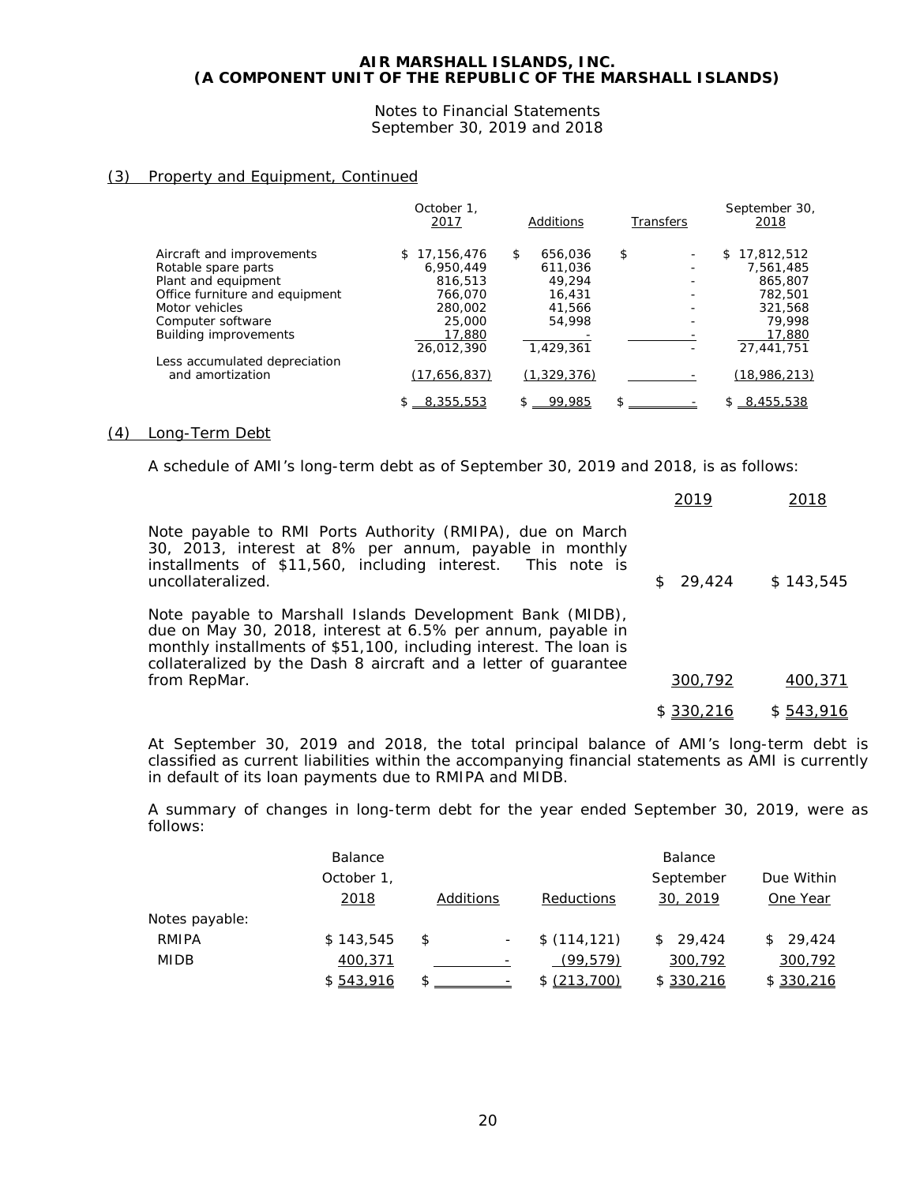Notes to Financial Statements September 30, 2019 and 2018

## (3) Property and Equipment, Continued

|                                | October 1.<br>2017 | Additions     | <b>Transfers</b> | September 30,<br>2018 |
|--------------------------------|--------------------|---------------|------------------|-----------------------|
| Aircraft and improvements      | 17.156.476<br>S.   | 656,036<br>\$ | \$               | 17,812,512<br>\$      |
| Rotable spare parts            | 6.950.449          | 611.036       |                  | 7,561,485             |
| Plant and equipment            | 816,513            | 49,294        |                  | 865,807               |
| Office furniture and equipment | 766.070            | 16,431        |                  | 782,501               |
| Motor vehicles                 | 280,002            | 41,566        |                  | 321.568               |
| Computer software              | 25,000             | 54,998        |                  | 79.998                |
| <b>Building improvements</b>   | 17,880             |               |                  | 17,880                |
|                                | 26.012.390         | 1,429,361     |                  | 27.441.751            |
| Less accumulated depreciation  |                    |               |                  |                       |
| and amortization               | (17,656,837)       | (1, 329, 376) |                  | (18,986,213)          |
|                                | 8,355,553          | 99.985<br>\$  |                  | \$8,455,538           |

### (4) Long-Term Debt

A schedule of AMI's long-term debt as of September 30, 2019 and 2018, is as follows:

|                                                                                                                                                                                                                                                                                  | 2019      | 2018      |
|----------------------------------------------------------------------------------------------------------------------------------------------------------------------------------------------------------------------------------------------------------------------------------|-----------|-----------|
| Note payable to RMI Ports Authority (RMIPA), due on March<br>30, 2013, interest at 8% per annum, payable in monthly<br>installments of \$11,560, including interest. This note is<br>uncollateralized.                                                                           | 29,424    | \$143,545 |
| Note payable to Marshall Islands Development Bank (MIDB),<br>due on May 30, 2018, interest at 6.5% per annum, payable in<br>monthly installments of \$51,100, including interest. The loan is<br>collateralized by the Dash 8 aircraft and a letter of guarantee<br>from RepMar. | 300,792   | 400,371   |
|                                                                                                                                                                                                                                                                                  | \$330,216 | \$543,916 |
|                                                                                                                                                                                                                                                                                  |           |           |

At September 30, 2019 and 2018, the total principal balance of AMI's long-term debt is classified as current liabilities within the accompanying financial statements as AMI is currently in default of its loan payments due to RMIPA and MIDB.

A summary of changes in long-term debt for the year ended September 30, 2019, were as follows:

|                | Balance      |           |              | Balance      |              |
|----------------|--------------|-----------|--------------|--------------|--------------|
|                | October 1,   |           |              | September    | Due Within   |
|                | <u> 2018</u> | Additions | Reductions   | 30, 2019     | One Year     |
| Notes payable: |              |           |              |              |              |
| RMIPA          | \$143,545    | \$        | \$(114, 121) | 29,424<br>\$ | 29,424<br>S. |
| <b>MIDB</b>    | 400,371      |           | (99.579)     | 300,792      | 300,792      |
|                | \$543,916    |           | \$(213,700)  | \$ 330,216   | \$330,216    |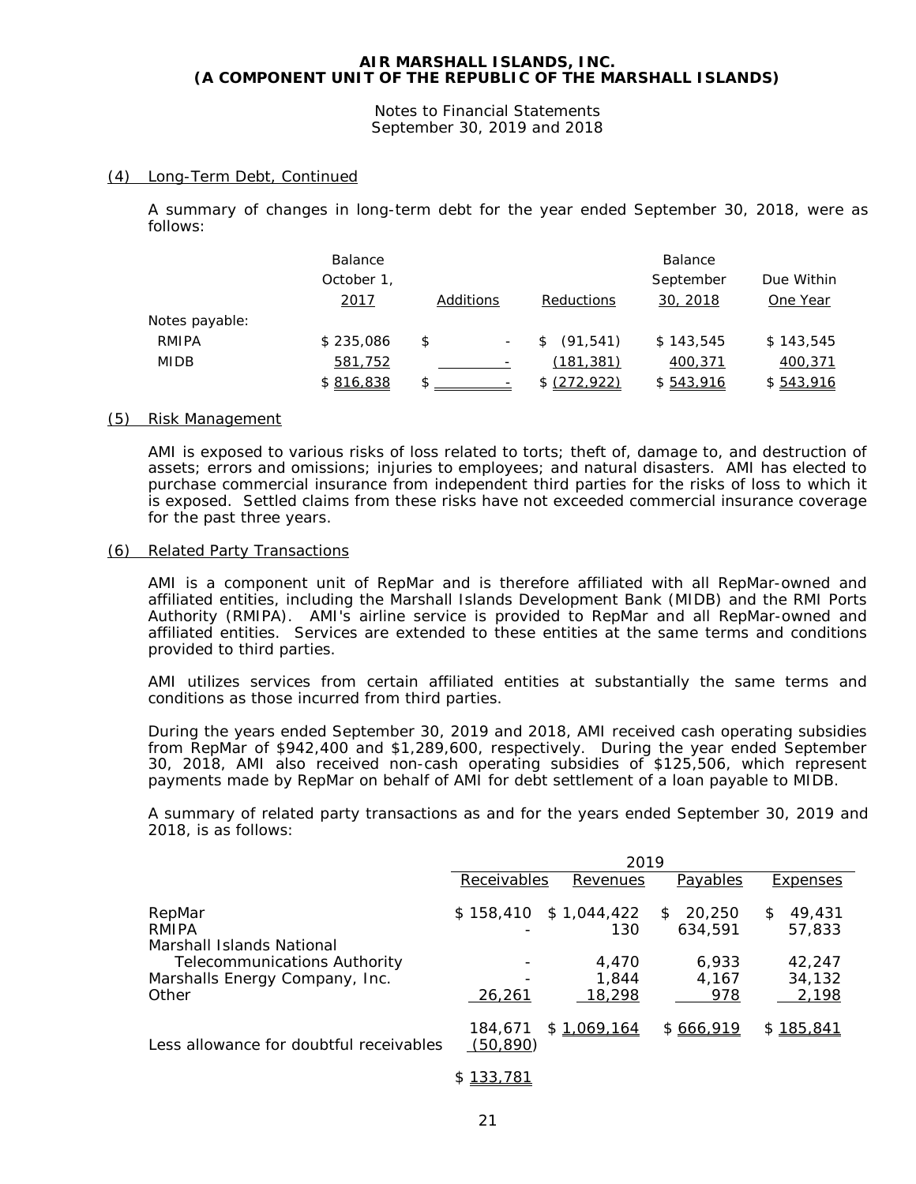Notes to Financial Statements September 30, 2019 and 2018

## (4) Long-Term Debt, Continued

A summary of changes in long-term debt for the year ended September 30, 2018, were as follows:

|                | <b>Balance</b> |           |  |                         | <b>Balance</b> |           |
|----------------|----------------|-----------|--|-------------------------|----------------|-----------|
|                | October 1,     |           |  | Due Within<br>September |                |           |
|                | 2017           | Additions |  | Reductions              | 30, 2018       | One Year  |
| Notes payable: |                |           |  |                         |                |           |
| RMIPA          | \$235,086      | \$        |  | (91, 541)<br>S          | \$143,545      | \$143.545 |
| <b>MIDB</b>    | 581,752        |           |  | (181, 381)              | 400,371        | 400,371   |
|                | \$816,838      | \$        |  | \$ (272, 922)           | \$543,916      | \$543,916 |

#### (5) Risk Management

AMI is exposed to various risks of loss related to torts; theft of, damage to, and destruction of assets; errors and omissions; injuries to employees; and natural disasters. AMI has elected to purchase commercial insurance from independent third parties for the risks of loss to which it is exposed. Settled claims from these risks have not exceeded commercial insurance coverage for the past three years.

## (6) Related Party Transactions

AMI is a component unit of RepMar and is therefore affiliated with all RepMar-owned and affiliated entities, including the Marshall Islands Development Bank (MIDB) and the RMI Ports Authority (RMIPA). AMI's airline service is provided to RepMar and all RepMar-owned and affiliated entities. Services are extended to these entities at the same terms and conditions provided to third parties.

AMI utilizes services from certain affiliated entities at substantially the same terms and conditions as those incurred from third parties.

During the years ended September 30, 2019 and 2018, AMI received cash operating subsidies from RepMar of \$942,400 and \$1,289,600, respectively. During the year ended September 30, 2018, AMI also received non-cash operating subsidies of \$125,506, which represent payments made by RepMar on behalf of AMI for debt settlement of a loan payable to MIDB.

A summary of related party transactions as and for the years ended September 30, 2019 and 2018, is as follows:

|                                                                                                    | 2019                 |                                |                        |                       |
|----------------------------------------------------------------------------------------------------|----------------------|--------------------------------|------------------------|-----------------------|
|                                                                                                    | Receivables          | Revenues                       | Payables               | <b>Expenses</b>       |
| RepMar<br>RMIPA                                                                                    |                      | $$158,410$ $$1,044,422$<br>130 | 20,250<br>S<br>634.591 | 49,431<br>S<br>57,833 |
| Marshall Islands National<br><b>Telecommunications Authority</b><br>Marshalls Energy Company, Inc. |                      | 4.470<br>1.844                 | 6,933<br>4.167         | 42.247<br>34,132      |
| Other                                                                                              | 26,261               | 18,298                         | 978                    | 2,198                 |
| Less allowance for doubtful receivables                                                            | 184,671<br>(50, 890) | \$1,069,164                    | \$666,919              | \$185,841             |

#### \$ 133,781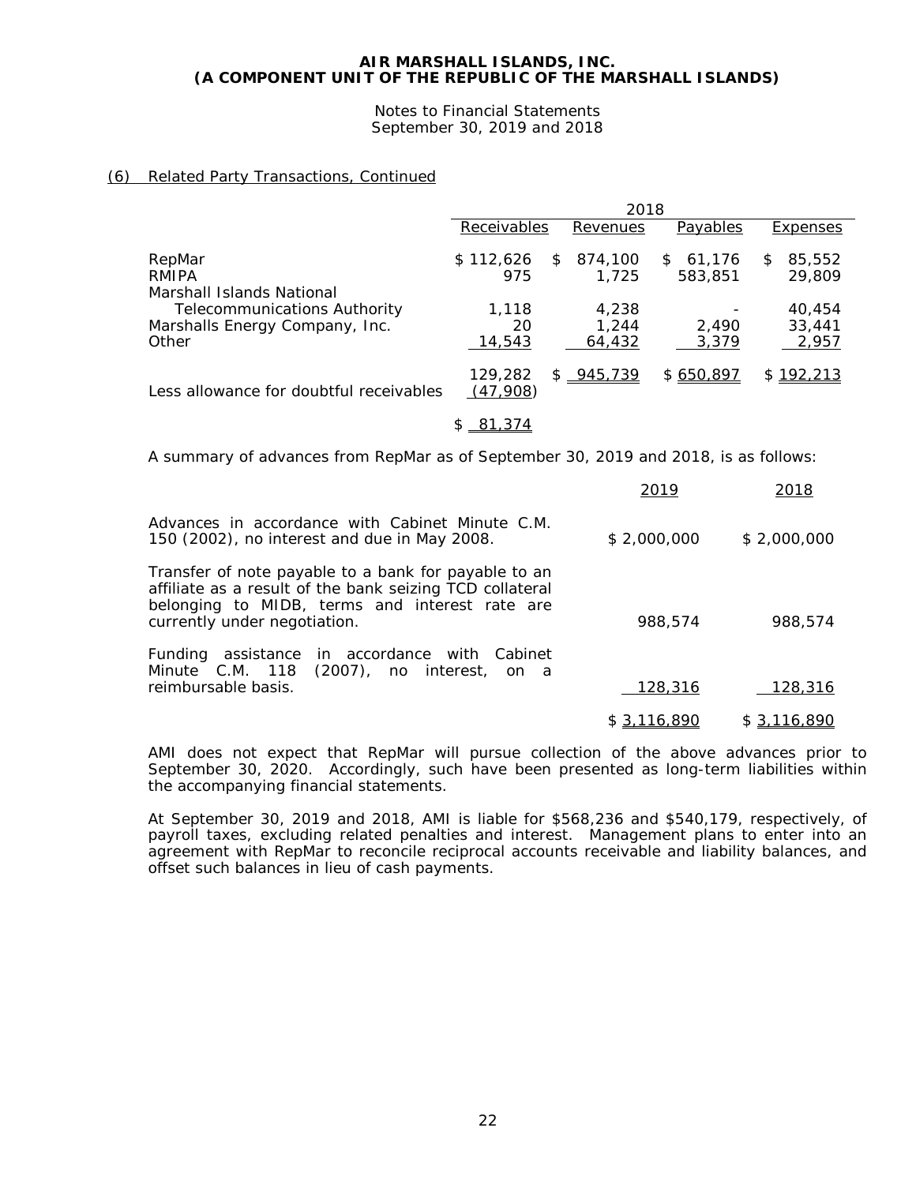Notes to Financial Statements September 30, 2019 and 2018

## (6) Related Party Transactions, Continued

|                                                                                                             | 2018                   |                          |                         |                           |
|-------------------------------------------------------------------------------------------------------------|------------------------|--------------------------|-------------------------|---------------------------|
|                                                                                                             | Receivables            | Revenues                 | Payables                | Expenses                  |
| RepMar<br>RMIPA                                                                                             | \$112,626<br>\$<br>975 | 874,100<br>1.725         | 61,176<br>\$<br>583,851 | 85,552<br>\$<br>29,809    |
| Marshall Islands National<br><b>Telecommunications Authority</b><br>Marshalls Energy Company, Inc.<br>Other | 1,118<br>20<br>14,543  | 4,238<br>1,244<br>64,432 | 2.490<br>3,379          | 40,454<br>33,441<br>2,957 |
| Less allowance for doubtful receivables                                                                     | 129,282<br>(47,908)    | \$ 945,739               | \$650,897               | \$192,213                 |
|                                                                                                             | 81,374<br>S            |                          |                         |                           |

A summary of advances from RepMar as of September 30, 2019 and 2018, is as follows:

|                                                                                                                                                                                                    | 2019        | 2018        |
|----------------------------------------------------------------------------------------------------------------------------------------------------------------------------------------------------|-------------|-------------|
| Advances in accordance with Cabinet Minute C.M.<br>150 (2002), no interest and due in May 2008.                                                                                                    | \$2,000,000 | \$2,000,000 |
| Transfer of note payable to a bank for payable to an<br>affiliate as a result of the bank seizing TCD collateral<br>belonging to MIDB, terms and interest rate are<br>currently under negotiation. | 988,574     | 988,574     |
| Funding assistance in accordance with Cabinet<br>Minute C.M. 118 (2007), no interest, on a<br>reimbursable basis.                                                                                  | 128,316     | 128,316     |
|                                                                                                                                                                                                    | \$3,116,890 | \$3,116,890 |

AMI does not expect that RepMar will pursue collection of the above advances prior to September 30, 2020. Accordingly, such have been presented as long-term liabilities within the accompanying financial statements.

At September 30, 2019 and 2018, AMI is liable for \$568,236 and \$540,179, respectively, of payroll taxes, excluding related penalties and interest. Management plans to enter into an agreement with RepMar to reconcile reciprocal accounts receivable and liability balances, and offset such balances in lieu of cash payments.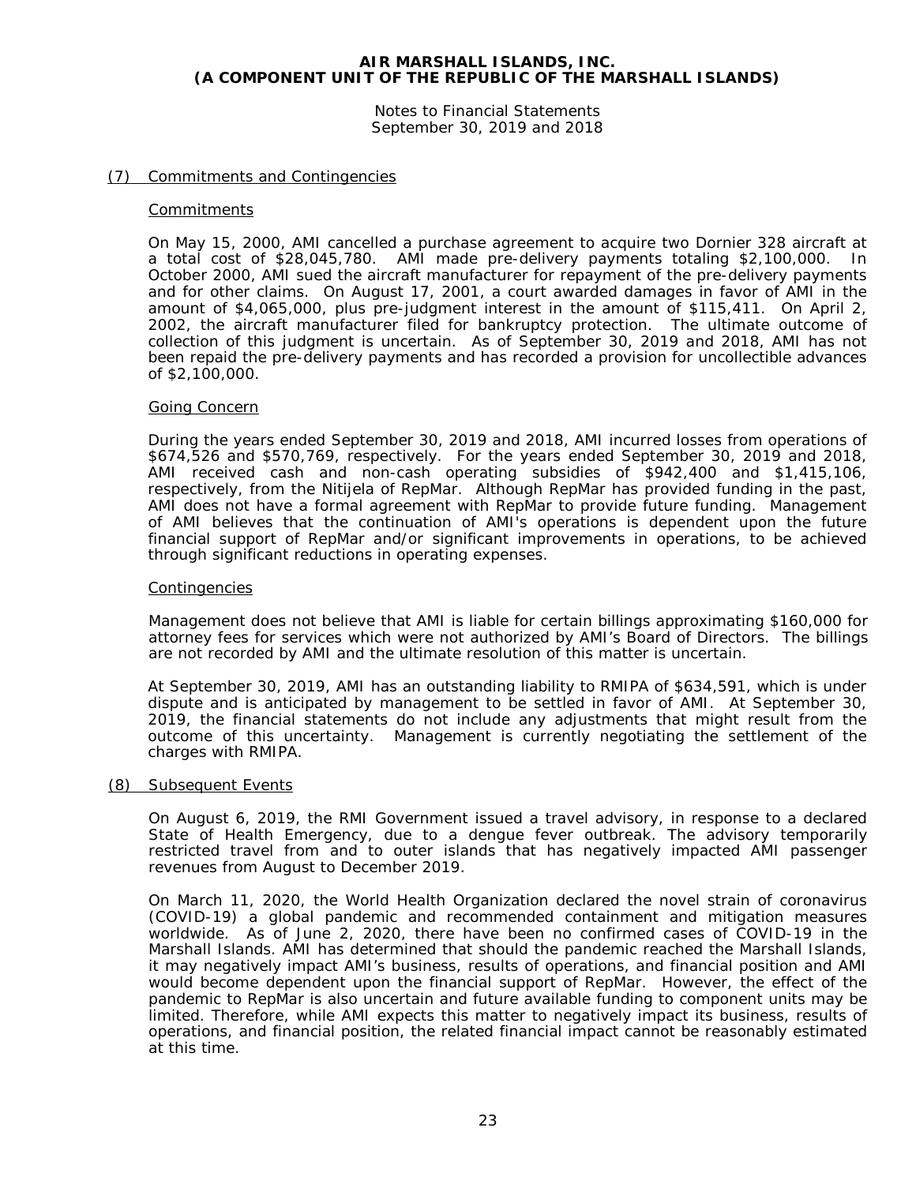Notes to Financial Statements September 30, 2019 and 2018

## (7) Commitments and Contingencies

#### **Commitments**

On May 15, 2000, AMI cancelled a purchase agreement to acquire two Dornier 328 aircraft at a total cost of \$28,045,780. AMI made pre-delivery payments totaling \$2,100,000. In October 2000, AMI sued the aircraft manufacturer for repayment of the pre-delivery payments and for other claims. On August 17, 2001, a court awarded damages in favor of AMI in the amount of \$4,065,000, plus pre-judgment interest in the amount of \$115,411. On April 2, 2002, the aircraft manufacturer filed for bankruptcy protection. The ultimate outcome of collection of this judgment is uncertain. As of September 30, 2019 and 2018, AMI has not been repaid the pre-delivery payments and has recorded a provision for uncollectible advances of \$2,100,000.

#### Going Concern

During the years ended September 30, 2019 and 2018, AMI incurred losses from operations of \$674,526 and \$570,769, respectively. For the years ended September 30, 2019 and 2018, AMI received cash and non-cash operating subsidies of \$942,400 and \$1,415,106, respectively, from the Nitijela of RepMar. Although RepMar has provided funding in the past, AMI does not have a formal agreement with RepMar to provide future funding. Management of AMI believes that the continuation of AMI's operations is dependent upon the future financial support of RepMar and/or significant improvements in operations, to be achieved through significant reductions in operating expenses.

#### **Contingencies**

Management does not believe that AMI is liable for certain billings approximating \$160,000 for attorney fees for services which were not authorized by AMI's Board of Directors. The billings are not recorded by AMI and the ultimate resolution of this matter is uncertain.

At September 30, 2019, AMI has an outstanding liability to RMIPA of \$634,591, which is under dispute and is anticipated by management to be settled in favor of AMI. At September 30, 2019, the financial statements do not include any adjustments that might result from the outcome of this uncertainty. Management is currently negotiating the settlement of the charges with RMIPA.

#### (8) Subsequent Events

On August 6, 2019, the RMI Government issued a travel advisory, in response to a declared State of Health Emergency, due to a dengue fever outbreak. The advisory temporarily restricted travel from and to outer islands that has negatively impacted AMI passenger revenues from August to December 2019.

On March 11, 2020, the World Health Organization declared the novel strain of coronavirus (COVID-19) a global pandemic and recommended containment and mitigation measures worldwide. As of June 2, 2020, there have been no confirmed cases of COVID-19 in the Marshall Islands. AMI has determined that should the pandemic reached the Marshall Islands, it may negatively impact AMI's business, results of operations, and financial position and AMI would become dependent upon the financial support of RepMar. However, the effect of the pandemic to RepMar is also uncertain and future available funding to component units may be limited. Therefore, while AMI expects this matter to negatively impact its business, results of operations, and financial position, the related financial impact cannot be reasonably estimated at this time.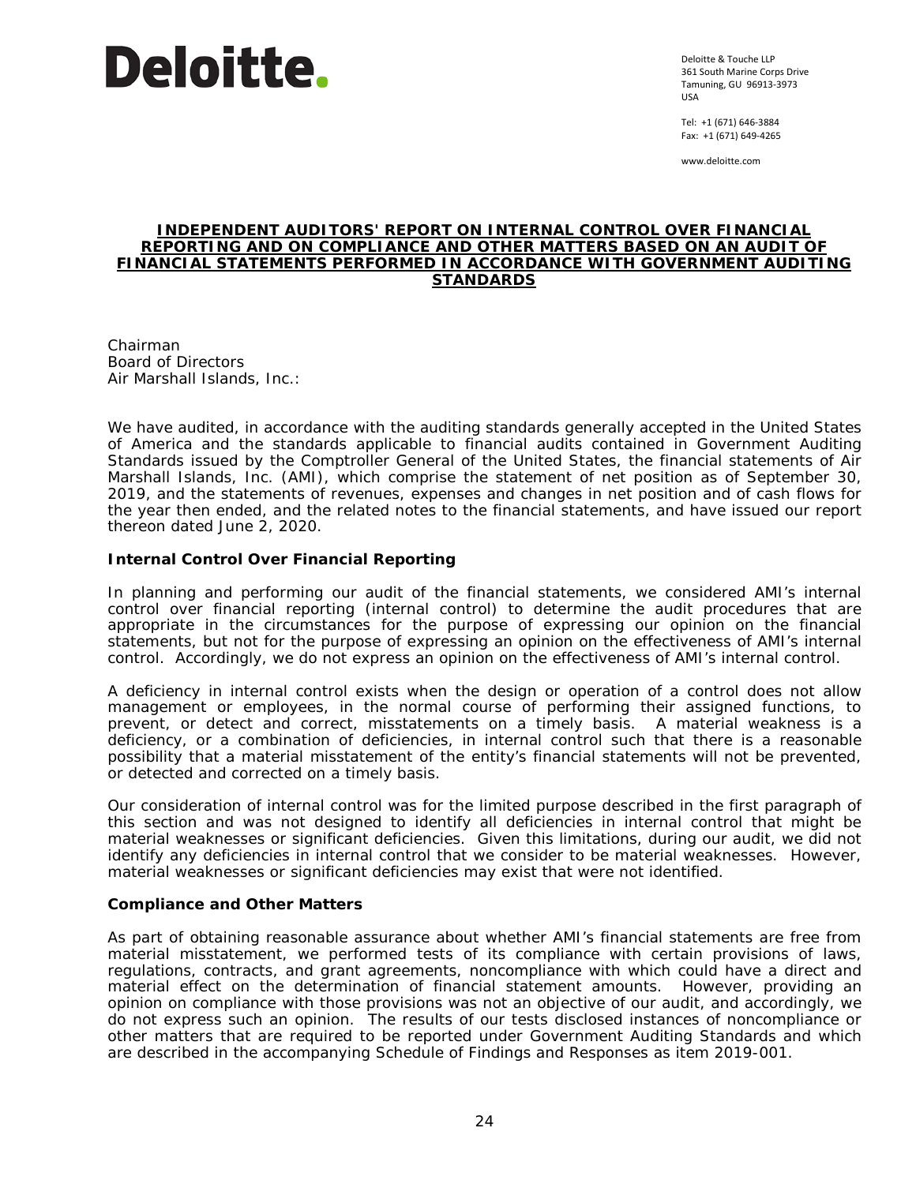

Deloitte & Touche LLP 361 South Marine Corps Drive Tamuning, GU 96913-3973 USA

Tel: +1 (671) 646-3884 Fax: +1 (671) 649-4265

www.deloitte.com

#### **INDEPENDENT AUDITORS' REPORT ON INTERNAL CONTROL OVER FINANCIAL REPORTING AND ON COMPLIANCE AND OTHER MATTERS BASED ON AN AUDIT OF FINANCIAL STATEMENTS PERFORMED IN ACCORDANCE WITH** *GOVERNMENT AUDITING STANDARDS*

Chairman Board of Directors Air Marshall Islands, Inc.:

We have audited, in accordance with the auditing standards generally accepted in the United States of America and the standards applicable to financial audits contained in *Government Auditing Standards* issued by the Comptroller General of the United States, the financial statements of Air Marshall Islands, Inc. (AMI), which comprise the statement of net position as of September 30, 2019, and the statements of revenues, expenses and changes in net position and of cash flows for the year then ended, and the related notes to the financial statements, and have issued our report thereon dated June 2, 2020.

## **Internal Control Over Financial Reporting**

In planning and performing our audit of the financial statements, we considered AMI's internal control over financial reporting (internal control) to determine the audit procedures that are appropriate in the circumstances for the purpose of expressing our opinion on the financial statements, but not for the purpose of expressing an opinion on the effectiveness of AMI's internal control. Accordingly, we do not express an opinion on the effectiveness of AMI's internal control.

A *deficiency in internal control* exists when the design or operation of a control does not allow management or employees, in the normal course of performing their assigned functions, to prevent, or detect and correct, misstatements on a timely basis. A *material weakness* is a deficiency, or a combination of deficiencies, in internal control such that there is a reasonable possibility that a material misstatement of the entity's financial statements will not be prevented, or detected and corrected on a timely basis.

Our consideration of internal control was for the limited purpose described in the first paragraph of this section and was not designed to identify all deficiencies in internal control that might be material weaknesses or significant deficiencies. Given this limitations, during our audit, we did not identify any deficiencies in internal control that we consider to be material weaknesses. However, material weaknesses or significant deficiencies may exist that were not identified.

## **Compliance and Other Matters**

As part of obtaining reasonable assurance about whether AMI's financial statements are free from material misstatement, we performed tests of its compliance with certain provisions of laws, regulations, contracts, and grant agreements, noncompliance with which could have a direct and material effect on the determination of financial statement amounts. However, providing an opinion on compliance with those provisions was not an objective of our audit, and accordingly, we do not express such an opinion. The results of our tests disclosed instances of noncompliance or other matters that are required to be reported under *Government Auditing Standards* and which are described in the accompanying Schedule of Findings and Responses as item 2019-001.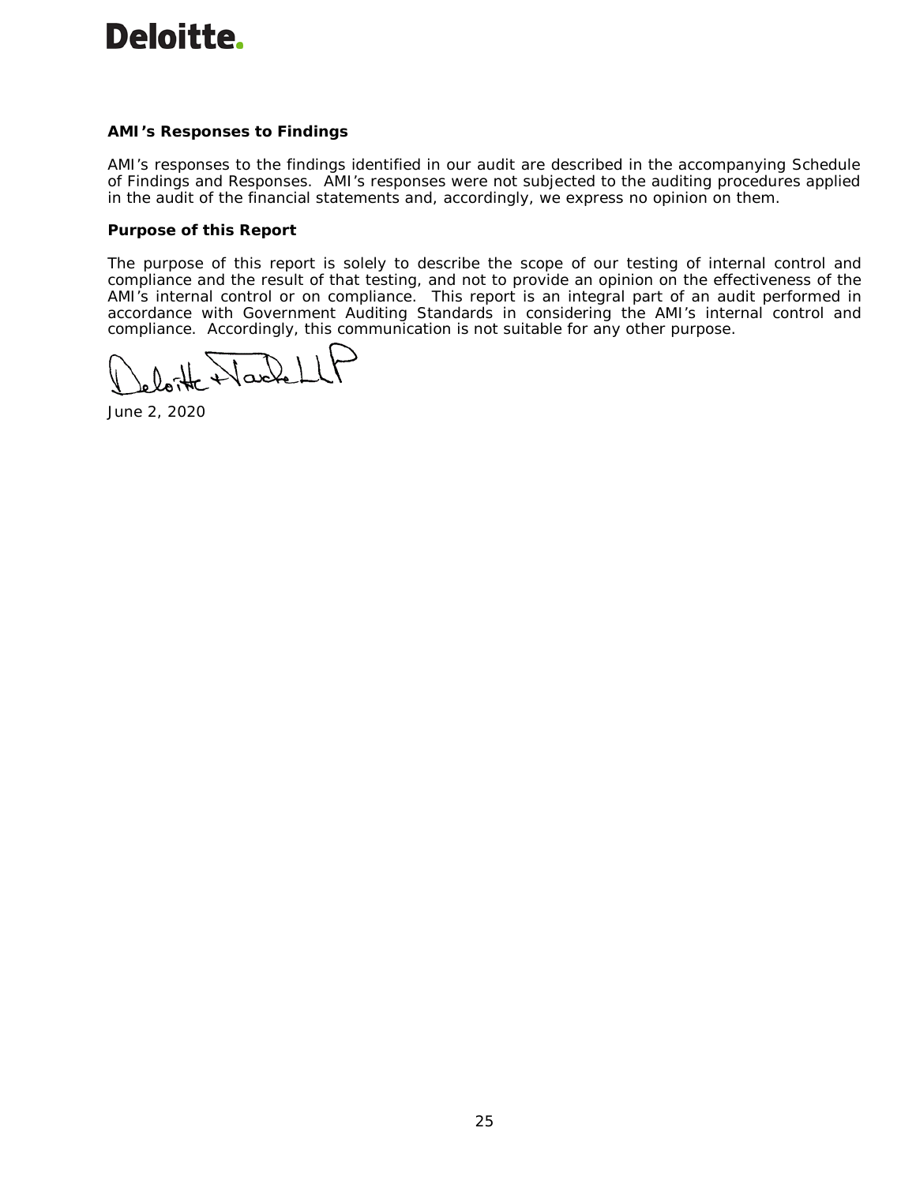# **Deloitte.**

## **AMI's Responses to Findings**

AMI's responses to the findings identified in our audit are described in the accompanying Schedule of Findings and Responses. AMI's responses were not subjected to the auditing procedures applied in the audit of the financial statements and, accordingly, we express no opinion on them.

## **Purpose of this Report**

The purpose of this report is solely to describe the scope of our testing of internal control and compliance and the result of that testing, and not to provide an opinion on the effectiveness of the AMI's internal control or on compliance. This report is an integral part of an audit performed in accordance with *Government Auditing Standards* in considering the AMI's internal control and compliance. Accordingly, this communication is not suitable for any other purpose.

Vartel

June 2, 2020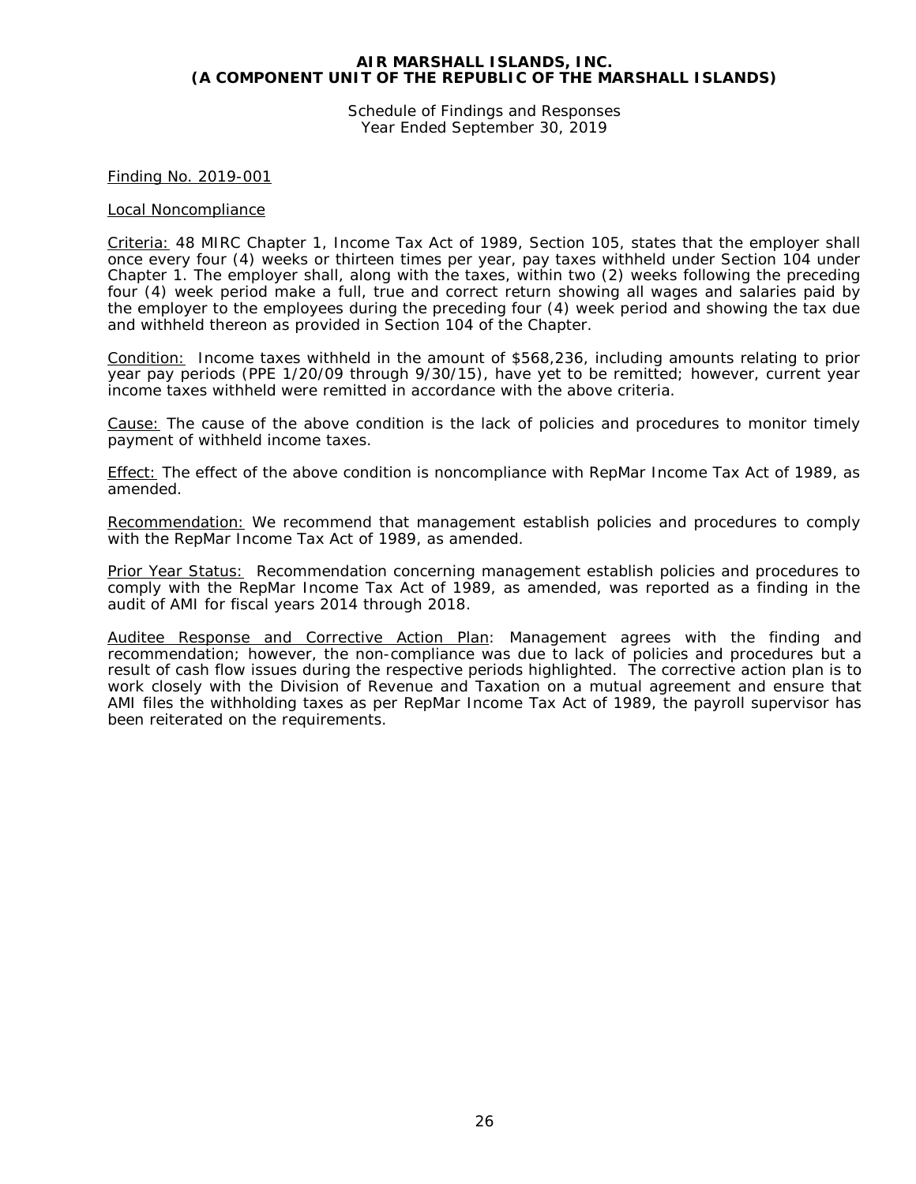Schedule of Findings and Responses Year Ended September 30, 2019

#### Finding No. 2019-001

#### Local Noncompliance

Criteria: 48 MIRC Chapter 1, Income Tax Act of 1989, Section 105, states that the employer shall once every four (4) weeks or thirteen times per year, pay taxes withheld under Section 104 under Chapter 1. The employer shall, along with the taxes, within two (2) weeks following the preceding four (4) week period make a full, true and correct return showing all wages and salaries paid by the employer to the employees during the preceding four (4) week period and showing the tax due and withheld thereon as provided in Section 104 of the Chapter.

Condition: Income taxes withheld in the amount of \$568,236, including amounts relating to prior year pay periods (PPE 1/20/09 through 9/30/15), have yet to be remitted; however, current year income taxes withheld were remitted in accordance with the above criteria.

Cause: The cause of the above condition is the lack of policies and procedures to monitor timely payment of withheld income taxes.

Effect: The effect of the above condition is noncompliance with RepMar Income Tax Act of 1989, as amended.

Recommendation: We recommend that management establish policies and procedures to comply with the RepMar Income Tax Act of 1989, as amended.

Prior Year Status: Recommendation concerning management establish policies and procedures to comply with the RepMar Income Tax Act of 1989, as amended, was reported as a finding in the audit of AMI for fiscal years 2014 through 2018.

Auditee Response and Corrective Action Plan: Management agrees with the finding and recommendation; however, the non-compliance was due to lack of policies and procedures but a result of cash flow issues during the respective periods highlighted. The corrective action plan is to work closely with the Division of Revenue and Taxation on a mutual agreement and ensure that AMI files the withholding taxes as per RepMar Income Tax Act of 1989, the payroll supervisor has been reiterated on the requirements.